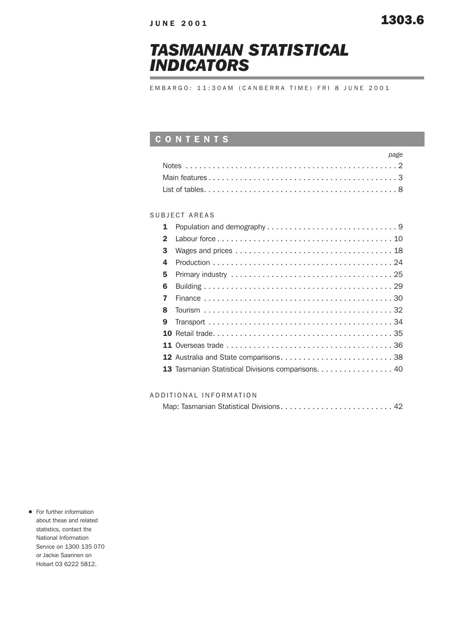# *TASMANIAN STATISTICAL INDICATORS*

EMBARGO: 11:30AM (CANBERRA TIME) FRI 8 JUNE 2001

### CONTENTS

| page |
|------|
|      |
|      |
|      |

### SUBJECT AREAS

| 1            |                                                    |
|--------------|----------------------------------------------------|
| $\mathbf{2}$ |                                                    |
| 3            |                                                    |
| 4            |                                                    |
| 5            |                                                    |
| 6            |                                                    |
| 7            |                                                    |
| 8            |                                                    |
| 9            |                                                    |
|              |                                                    |
|              |                                                    |
|              | 12 Australia and State comparisons38               |
|              | 13 Tasmanian Statistical Divisions comparisons. 40 |
|              |                                                    |

### ADDITIONAL INFORMATION

For further information about these and related statistics, contact the National Information Service on 1300 135 070 or Jackie Saarinen on Hobart 03 6222 5812.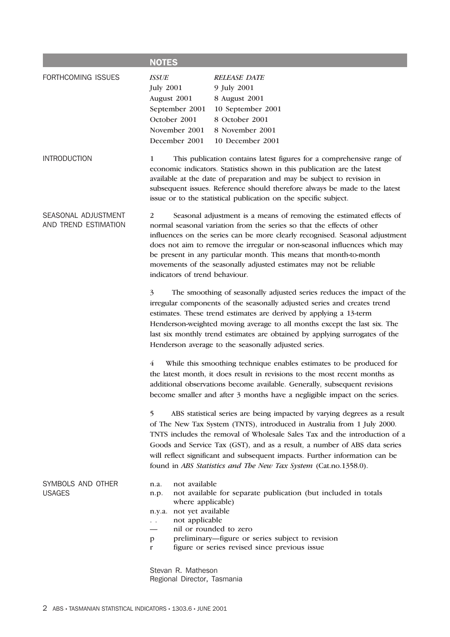|                                             | <b>NOTES</b>                                                                                                                                                                                                                                                                                                                                                                                                                                                                                  |  |  |  |  |
|---------------------------------------------|-----------------------------------------------------------------------------------------------------------------------------------------------------------------------------------------------------------------------------------------------------------------------------------------------------------------------------------------------------------------------------------------------------------------------------------------------------------------------------------------------|--|--|--|--|
| FORTHCOMING ISSUES                          | <b>ISSUE</b><br><b>RELEASE DATE</b><br><b>July 2001</b><br>9 July 2001<br>August 2001<br>8 August 2001<br>September 2001<br>10 September 2001<br>8 October 2001<br>October 2001<br>November 2001<br>8 November 2001<br>10 December 2001<br>December 2001                                                                                                                                                                                                                                      |  |  |  |  |
| <b>INTRODUCTION</b>                         | 1<br>This publication contains latest figures for a comprehensive range of<br>economic indicators. Statistics shown in this publication are the latest<br>available at the date of preparation and may be subject to revision in<br>subsequent issues. Reference should therefore always be made to the latest<br>issue or to the statistical publication on the specific subject.                                                                                                            |  |  |  |  |
| SEASONAL ADJUSTMENT<br>AND TREND ESTIMATION | Seasonal adjustment is a means of removing the estimated effects of<br>2<br>normal seasonal variation from the series so that the effects of other<br>influences on the series can be more clearly recognised. Seasonal adjustment<br>does not aim to remove the irregular or non-seasonal influences which may<br>be present in any particular month. This means that month-to-month<br>movements of the seasonally adjusted estimates may not be reliable<br>indicators of trend behaviour. |  |  |  |  |
|                                             | 3<br>The smoothing of seasonally adjusted series reduces the impact of the<br>irregular components of the seasonally adjusted series and creates trend<br>estimates. These trend estimates are derived by applying a 13-term<br>Henderson-weighted moving average to all months except the last six. The<br>last six monthly trend estimates are obtained by applying surrogates of the<br>Henderson average to the seasonally adjusted series.                                               |  |  |  |  |
|                                             | While this smoothing technique enables estimates to be produced for<br>4<br>the latest month, it does result in revisions to the most recent months as<br>additional observations become available. Generally, subsequent revisions<br>become smaller and after 3 months have a negligible impact on the series.                                                                                                                                                                              |  |  |  |  |
|                                             | 5<br>ABS statistical series are being impacted by varying degrees as a result<br>of The New Tax System (TNTS), introduced in Australia from 1 July 2000.<br>TNTS includes the removal of Wholesale Sales Tax and the introduction of a<br>Goods and Service Tax (GST), and as a result, a number of ABS data series<br>will reflect significant and subsequent impacts. Further information can be<br>found in ABS Statistics and The New Tax System (Cat.no.1358.0).                         |  |  |  |  |
| SYMBOLS AND OTHER<br><b>USAGES</b>          | not available<br>n.a.<br>not available for separate publication (but included in totals<br>n.p.<br>where applicable)<br>not yet available<br>n.y.a.<br>not applicable<br>$\ddotsc$<br>nil or rounded to zero<br>preliminary-figure or series subject to revision<br>p<br>figure or series revised since previous issue<br>$\mathbf{r}$                                                                                                                                                        |  |  |  |  |
|                                             | Stevan R. Matheson                                                                                                                                                                                                                                                                                                                                                                                                                                                                            |  |  |  |  |

Regional Director, Tasmania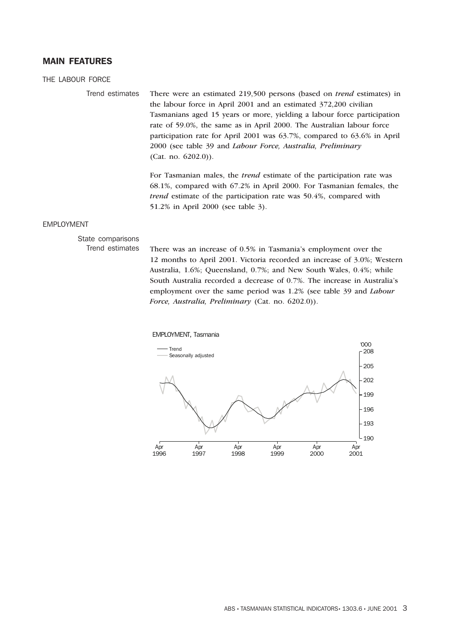### MAIN FEATURES

### THE LABOUR FORCE

Trend estimates There were an estimated 219,500 persons (based on *trend* estimates) in the labour force in April 2001 and an estimated 372,200 civilian Tasmanians aged 15 years or more, yielding a labour force participation rate of 59.0%, the same as in April 2000. The Australian labour force participation rate for April 2001 was 63.7%, compared to 63.6% in April 2000 (see table 39 and *Labour Force, Australia, Preliminary* (Cat. no. 6202.0)).

> For Tasmanian males, the *trend* estimate of the participation rate was 68.1%, compared with 67.2% in April 2000. For Tasmanian females, the *trend* estimate of the participation rate was 50.4%, compared with 51.2% in April 2000 (see table 3).

### EMPLOYMENT

# State comparisons

Trend estimates There was an increase of 0.5% in Tasmania's employment over the 12 months to April 2001. Victoria recorded an increase of 3.0%; Western Australia, 1.6%; Queensland, 0.7%; and New South Wales, 0.4%; while South Australia recorded a decrease of 0.7%. The increase in Australia's employment over the same period was 1.2% (see table 39 and *Labour Force, Australia, Preliminary* (Cat. no. 6202.0)).

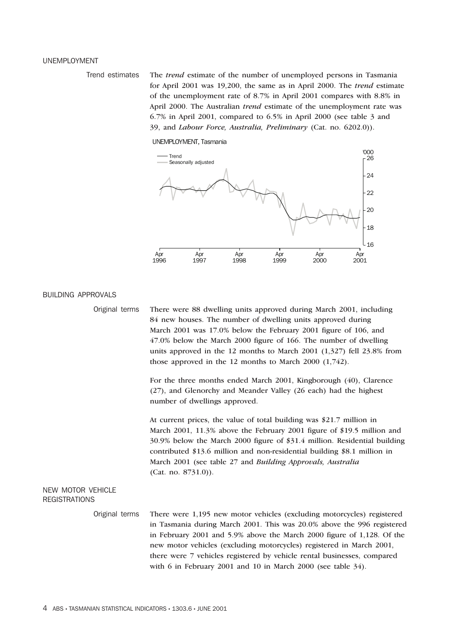### UNEMPLOYMENT

Trend estimates The *trend* estimate of the number of unemployed persons in Tasmania for April 2001 was 19,200, the same as in April 2000. The *trend* estimate of the unemployment rate of 8.7% in April 2001 compares with 8.8% in April 2000. The Australian *trend* estimate of the unemployment rate was 6.7% in April 2001, compared to 6.5% in April 2000 (see table 3 and 39, and *Labour Force, Australia, Preliminary* (Cat. no. 6202.0)).





### BUILDING APPROVALS

Original terms There were 88 dwelling units approved during March 2001, including 84 new houses. The number of dwelling units approved during March 2001 was 17.0% below the February 2001 figure of 106, and 47.0% below the March 2000 figure of 166. The number of dwelling units approved in the 12 months to March 2001 (1,327) fell 23.8% from those approved in the 12 months to March 2000 (1,742).

> For the three months ended March 2001, Kingborough (40), Clarence (27), and Glenorchy and Meander Valley (26 each) had the highest number of dwellings approved.

At current prices, the value of total building was \$21.7 million in March 2001, 11.3% above the February 2001 figure of \$19.5 million and 30.9% below the March 2000 figure of \$31.4 million. Residential building contributed \$13.6 million and non-residential building \$8.1 million in March 2001 (see table 27 and *Building Approvals, Australia* (Cat. no. 8731.0)).

### NEW MOTOR VEHICLE **REGISTRATIONS**

Original terms There were 1,195 new motor vehicles (excluding motorcycles) registered in Tasmania during March 2001. This was 20.0% above the 996 registered in February 2001 and 5.9% above the March 2000 figure of 1,128. Of the new motor vehicles (excluding motorcycles) registered in March 2001, there were 7 vehicles registered by vehicle rental businesses, compared with 6 in February 2001 and 10 in March 2000 (see table 34).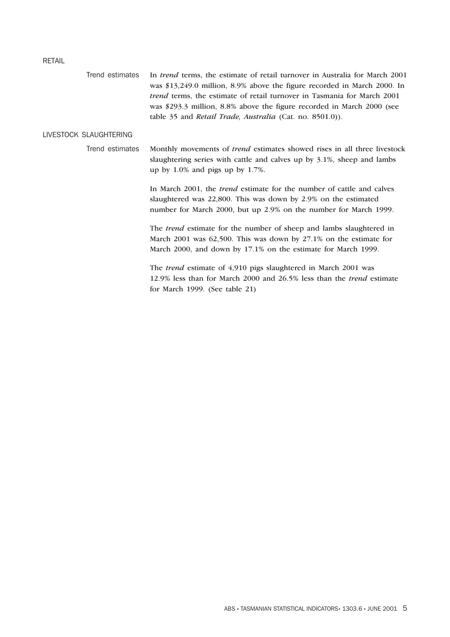### RETAIL

| Trend estimates        | In <i>trend</i> terms, the estimate of retail turnover in Australia for March 2001<br>was \$13,249.0 million, 8.9% above the figure recorded in March 2000. In<br><i>trend</i> terms, the estimate of retail turnover in Tasmania for March 2001<br>was \$293.3 million, 8.8% above the figure recorded in March 2000 (see<br>table 35 and Retail Trade, Australia (Cat. no. 8501.0)). |
|------------------------|----------------------------------------------------------------------------------------------------------------------------------------------------------------------------------------------------------------------------------------------------------------------------------------------------------------------------------------------------------------------------------------|
| LIVESTOCK SLAUGHTERING |                                                                                                                                                                                                                                                                                                                                                                                        |
| Trend estimates        | Monthly movements of <i>trend</i> estimates showed rises in all three livestock<br>slaughtering series with cattle and calves up by 3.1%, sheep and lambs<br>up by $1.0\%$ and pigs up by 1.7%.                                                                                                                                                                                        |
|                        | In March 2001, the <i>trend</i> estimate for the number of cattle and calves<br>slaughtered was 22,800. This was down by 2.9% on the estimated<br>number for March 2000, but up 2.9% on the number for March 1999.                                                                                                                                                                     |
|                        | The <i>trend</i> estimate for the number of sheep and lambs slaughtered in<br>March 2001 was 62,500. This was down by 27.1% on the estimate for<br>March 2000, and down by 17.1% on the estimate for March 1999.                                                                                                                                                                       |
|                        | The trend estimate of 4,910 pigs slaughtered in March 2001 was<br>12.9% less than for March 2000 and 26.5% less than the <i>trend</i> estimate<br>for March 1999. (See table 21)                                                                                                                                                                                                       |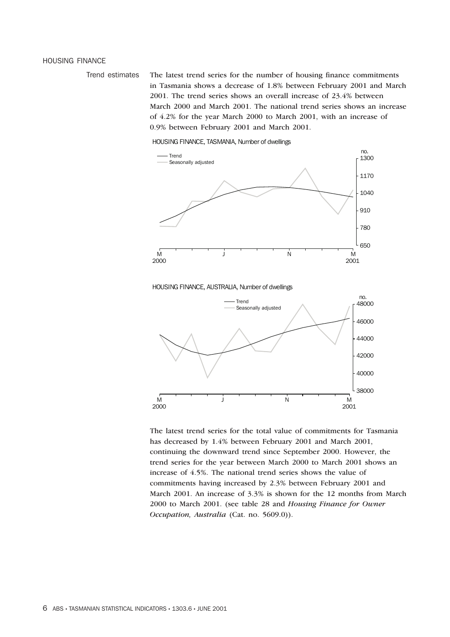### HOUSING FINANCE

Trend estimates The latest trend series for the number of housing finance commitments in Tasmania shows a decrease of 1.8% between February 2001 and March 2001. The trend series shows an overall increase of 23.4% between March 2000 and March 2001. The national trend series shows an increase of 4.2% for the year March 2000 to March 2001, with an increase of 0.9% between February 2001 and March 2001.

HOUSING FINANCE, TASMANIA, Number of dwellings



### HOUSING FINANCE, AUSTRALIA, Number of dwellings



The latest trend series for the total value of commitments for Tasmania has decreased by 1.4% between February 2001 and March 2001, continuing the downward trend since September 2000. However, the trend series for the year between March 2000 to March 2001 shows an increase of 4.5%. The national trend series shows the value of commitments having increased by 2.3% between February 2001 and March 2001. An increase of 3.3% is shown for the 12 months from March 2000 to March 2001. (see table 28 and *Housing Finance for Owner Occupation, Australia* (Cat. no. 5609.0)).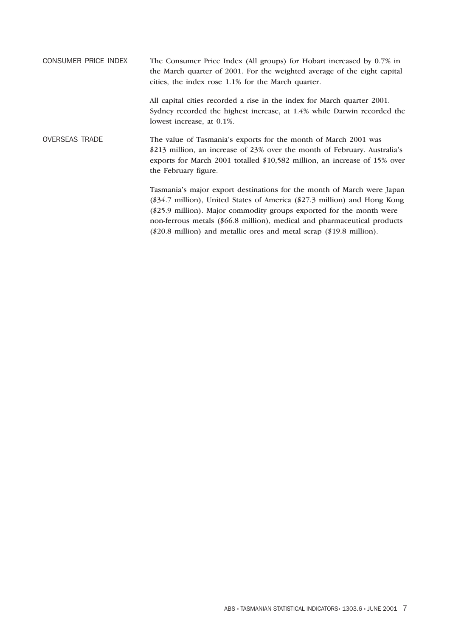CONSUMER PRICE INDEX The Consumer Price Index (All groups) for Hobart increased by 0.7% in the March quarter of 2001. For the weighted average of the eight capital cities, the index rose 1.1% for the March quarter. All capital cities recorded a rise in the index for March quarter 2001. Sydney recorded the highest increase, at 1.4% while Darwin recorded the lowest increase, at 0.1%. OVERSEAS TRADE The value of Tasmania's exports for the month of March 2001 was \$213 million, an increase of 23% over the month of February. Australia's exports for March 2001 totalled \$10,582 million, an increase of 15% over the February figure. Tasmania's major export destinations for the month of March were Japan (\$34.7 million), United States of America (\$27.3 million) and Hong Kong (\$25.9 million). Major commodity groups exported for the month were non-ferrous metals (\$66.8 million), medical and pharmaceutical products

(\$20.8 million) and metallic ores and metal scrap (\$19.8 million).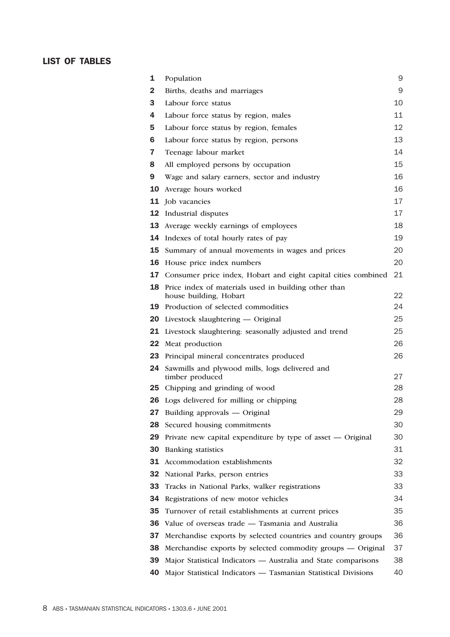### LIST OF TABLES

| 1   | Population                                                                     | 9  |
|-----|--------------------------------------------------------------------------------|----|
| 2   | Births, deaths and marriages                                                   | 9  |
| 3   | Labour force status                                                            | 10 |
| 4   | Labour force status by region, males                                           | 11 |
| 5   | Labour force status by region, females                                         | 12 |
| 6   | Labour force status by region, persons                                         | 13 |
| 7   | Teenage labour market                                                          | 14 |
| 8   | All employed persons by occupation                                             | 15 |
| 9   | Wage and salary earners, sector and industry                                   | 16 |
| 10  | Average hours worked                                                           | 16 |
|     | <b>11</b> Job vacancies                                                        | 17 |
|     | <b>12</b> Industrial disputes                                                  | 17 |
|     | <b>13</b> Average weekly earnings of employees                                 | 18 |
| 14  | Indexes of total hourly rates of pay                                           | 19 |
| 15  | Summary of annual movements in wages and prices                                | 20 |
| 16  | House price index numbers                                                      | 20 |
|     | 17 Consumer price index, Hobart and eight capital cities combined              | 21 |
| 18  | Price index of materials used in building other than<br>house building, Hobart | 22 |
|     | 19 Production of selected commodities                                          | 24 |
| 20  | Livestock slaughtering — Original                                              | 25 |
|     | 21 Livestock slaughtering: seasonally adjusted and trend                       | 25 |
|     | <b>22</b> Meat production                                                      | 26 |
| 23  | Principal mineral concentrates produced                                        | 26 |
| 24  | Sawmills and plywood mills, logs delivered and<br>timber produced              | 27 |
|     | 25 Chipping and grinding of wood                                               | 28 |
|     | <b>26</b> Logs delivered for milling or chipping                               | 28 |
|     | 27 Building approvals - Original                                               | 29 |
| 28. | Secured housing commitments                                                    | 30 |
| 29  | Private new capital expenditure by type of asset — Original                    | 30 |
|     | <b>30</b> Banking statistics                                                   | 31 |
|     | 31 Accommodation establishments                                                | 32 |
| 32  | National Parks, person entries                                                 | 33 |
| 33  | Tracks in National Parks, walker registrations                                 | 33 |
| 34. | Registrations of new motor vehicles                                            | 34 |
| 35  | Turnover of retail establishments at current prices                            | 35 |
| 36  | Value of overseas trade - Tasmania and Australia                               | 36 |
| 37  | Merchandise exports by selected countries and country groups                   | 36 |
| 38  | Merchandise exports by selected commodity groups — Original                    | 37 |
| 39  | Major Statistical Indicators - Australia and State comparisons                 | 38 |
| 40  | Major Statistical Indicators - Tasmanian Statistical Divisions                 | 40 |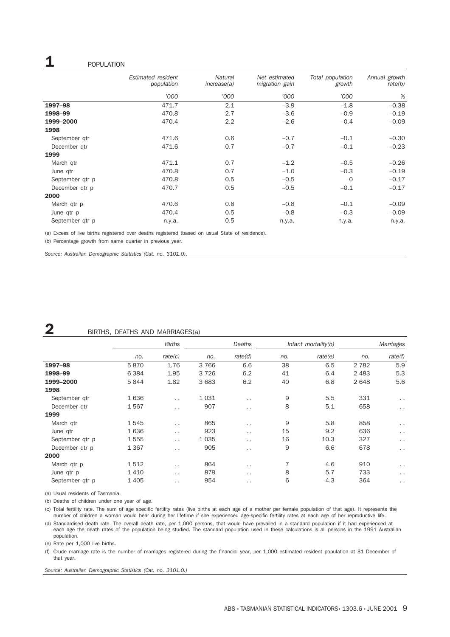### 1 **1** POPULATION

|                 | Estimated resident<br>population | <b>Natural</b><br>increase(a) | Net estimated<br>migration gain | Total population<br>growth | Annual growth<br>rate(b) |
|-----------------|----------------------------------|-------------------------------|---------------------------------|----------------------------|--------------------------|
|                 | '000                             | '000                          | '000                            | '000                       | %                        |
| 1997-98         | 471.7                            | 2.1                           | $-3.9$                          | $-1.8$                     | $-0.38$                  |
| 1998-99         | 470.8                            | 2.7                           | $-3.6$                          | $-0.9$                     | $-0.19$                  |
| 1999-2000       | 470.4                            | 2.2                           | $-2.6$                          | $-0.4$                     | $-0.09$                  |
| 1998            |                                  |                               |                                 |                            |                          |
| September gtr   | 471.6                            | 0.6                           | $-0.7$                          | $-0.1$                     | $-0.30$                  |
| December gtr    | 471.6                            | 0.7                           | $-0.7$                          | $-0.1$                     | $-0.23$                  |
| 1999            |                                  |                               |                                 |                            |                          |
| March qtr       | 471.1                            | 0.7                           | $-1.2$                          | $-0.5$                     | $-0.26$                  |
| June qtr        | 470.8                            | 0.7                           | $-1.0$                          | $-0.3$                     | $-0.19$                  |
| September qtr p | 470.8                            | 0.5                           | $-0.5$                          | $\Omega$                   | $-0.17$                  |
| December gtr p  | 470.7                            | 0.5                           | $-0.5$                          | $-0.1$                     | $-0.17$                  |
| 2000            |                                  |                               |                                 |                            |                          |
| March qtr p     | 470.6                            | 0.6                           | $-0.8$                          | $-0.1$                     | $-0.09$                  |
| June qtr p      | 470.4                            | 0.5                           | $-0.8$                          | $-0.3$                     | $-0.09$                  |
| September qtr p | n.y.a.                           | 0.5                           | n.y.a.                          | n.y.a.                     | n.y.a.                   |

(a) Excess of live births registered over deaths registered (based on usual State of residence).

(b) Percentage growth from same quarter in previous year.

*Source: Australian Demographic Statistics (Cat. no. 3101.0).*

### **2** BIRTHS, DEATHS AND MARRIAGES(a)

|                 | <b>Births</b> |                      | Deaths  |                      | Infant mortality(b) |         | Marriages |                      |
|-----------------|---------------|----------------------|---------|----------------------|---------------------|---------|-----------|----------------------|
|                 | no.           | rate(c)              | no.     | rate(d)              | no.                 | rate(e) | no.       | rate(f)              |
| 1997-98         | 5870          | 1.76                 | 3766    | 6.6                  | 38                  | 6.5     | 2 7 8 2   | 5.9                  |
| 1998-99         | 6 3 8 4       | 1.95                 | 3726    | 6.2                  | 41                  | 6.4     | 2 4 8 3   | 5.3                  |
| 1999-2000       | 5844          | 1.82                 | 3683    | 6.2                  | 40                  | 6.8     | 2648      | 5.6                  |
| 1998            |               |                      |         |                      |                     |         |           |                      |
| September gtr   | 1636          | $\ddot{\phantom{0}}$ | 1031    | $\ddot{\phantom{1}}$ | 9                   | 5.5     | 331       | $\cdot$ .            |
| December gtr    | 1567          | $\ddotsc$            | 907     | $\ddot{\phantom{1}}$ | 8                   | 5.1     | 658       | $\ddotsc$            |
| 1999            |               |                      |         |                      |                     |         |           |                      |
| March qtr       | 1545          | $\cdot$ $\cdot$      | 865     | $\ddot{\phantom{1}}$ | 9                   | 5.8     | 858       | $\ddot{\phantom{1}}$ |
| June qtr        | 1636          | $\ddotsc$            | 923     | $\ddotsc$            | 15                  | 9.2     | 636       | $\ddot{\phantom{1}}$ |
| September gtr p | 1555          | $\cdot$ $\cdot$      | 1 0 3 5 | $\ddotsc$            | 16                  | 10.3    | 327       | $\ddot{\phantom{1}}$ |
| December qtr p  | 1 3 6 7       | $\ddotsc$            | 905     | $\ddot{\phantom{1}}$ | 9                   | 6.6     | 678       | $\ddotsc$            |
| 2000            |               |                      |         |                      |                     |         |           |                      |
| March qtr p     | 1512          | $\ddotsc$            | 864     | $\ddot{\phantom{1}}$ | 7                   | 4.6     | 910       | $\cdot$ .            |
| June qtr p      | 1410          | $\ddotsc$            | 879     | $\cdot$ .            | 8                   | 5.7     | 733       | $\cdot$ .            |
| September gtr p | 1 4 0 5       | $\ddot{\phantom{0}}$ | 954     | $\cdot$ .            | 6                   | 4.3     | 364       | $\sim$ $\sim$        |

(a) Usual residents of Tasmania.

(b) Deaths of children under one year of age.

(c) Total fertility rate. The sum of age specific fertility rates (live births at each age of a mother per female population of that age). It represents the number of children a woman would bear during her lifetime if she experienced age-specific fertility rates at each age of her reproductive life.

(d) Standardised death rate. The overall death rate, per 1,000 persons, that would have prevailed in a standard population if it had experienced at each age the death rates of the population being studied. The standard population used in these calculations is all persons in the 1991 Australian population.

(e) Rate per 1,000 live births.

(f) Crude marriage rate is the number of marriages registered during the financial year, per 1,000 estimated resident population at 31 December of that year.

*Source: Australian Demographic Statistics (Cat. no. 3101.0.)*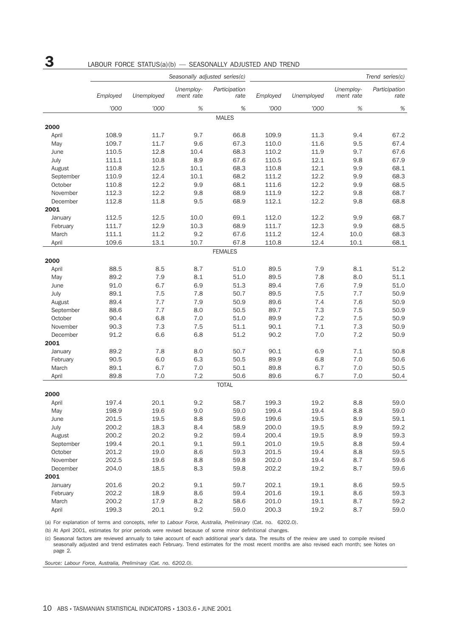# $3$  LABOUR FORCE STATUS(a)(b) — SEASONALLY ADJUSTED AND TREND

|           | Seasonally adjusted series(c) |            |                        |                       |          |            | Trend series(c)        |                       |
|-----------|-------------------------------|------------|------------------------|-----------------------|----------|------------|------------------------|-----------------------|
|           | Employed                      | Unemployed | Unemploy-<br>ment rate | Participation<br>rate | Employed | Unemployed | Unemploy-<br>ment rate | Participation<br>rate |
|           | '000                          | '000       | $\%$                   | $\%$                  | '000     | '000       | $\%$                   | $\%$                  |
|           |                               |            |                        | <b>MALES</b>          |          |            |                        |                       |
| 2000      |                               |            |                        |                       |          |            |                        |                       |
| April     | 108.9                         | 11.7       | 9.7                    | 66.8                  | 109.9    | 11.3       | 9.4                    | 67.2                  |
| May       | 109.7                         | 11.7       | 9.6                    | 67.3                  | 110.0    | 11.6       | 9.5                    | 67.4                  |
| June      | 110.5                         | 12.8       | 10.4                   | 68.3                  | 110.2    | 11.9       | 9.7                    | 67.6                  |
| July      | 111.1                         | 10.8       | 8.9                    | 67.6                  | 110.5    | 12.1       | 9.8                    | 67.9                  |
| August    | 110.8                         | 12.5       | 10.1                   | 68.3                  | 110.8    | 12.1       | 9.9                    | 68.1                  |
| September | 110.9                         | 12.4       | 10.1                   | 68.2                  | 111.2    | 12.2       | 9.9                    | 68.3                  |
| October   | 110.8                         | 12.2       | 9.9                    | 68.1                  | 111.6    | 12.2       | 9.9                    | 68.5                  |
| November  | 112.3                         | 12.2       | 9.8                    | 68.9                  | 111.9    | 12.2       | 9.8                    | 68.7                  |
| December  | 112.8                         | 11.8       | 9.5                    | 68.9                  | 112.1    | 12.2       | 9.8                    | 68.8                  |
| 2001      |                               |            |                        |                       |          |            |                        |                       |
| January   | 112.5                         | 12.5       | 10.0                   | 69.1                  | 112.0    | 12.2       | 9.9                    | 68.7                  |
| February  | 111.7                         | 12.9       | 10.3                   | 68.9                  | 111.7    | 12.3       | 9.9                    | 68.5                  |
| March     | 111.1                         | 11.2       | 9.2                    | 67.6                  | 111.2    | 12.4       | 10.0                   | 68.3                  |
| April     | 109.6                         | 13.1       | 10.7                   | 67.8                  | 110.8    | 12.4       | 10.1                   | 68.1                  |
|           |                               |            |                        | <b>FEMALES</b>        |          |            |                        |                       |
| 2000      |                               |            |                        |                       |          |            |                        |                       |
| April     | 88.5                          | 8.5        | 8.7                    | 51.0                  | 89.5     | 7.9        | 8.1                    | 51.2                  |
| May       | 89.2                          | 7.9        | 8.1                    | 51.0                  | 89.5     | 7.8        | 8.0                    | 51.1                  |
| June      | 91.0                          | 6.7        | 6.9                    | 51.3                  | 89.4     | 7.6        | 7.9                    | 51.0                  |
| July      | 89.1                          | 7.5        | 7.8                    | 50.7                  | 89.5     | 7.5        | 7.7                    | 50.9                  |
| August    | 89.4                          | 7.7        | 7.9                    | 50.9                  | 89.6     | 7.4        | 7.6                    | 50.9                  |
| September | 88.6                          | 7.7        | 8.0                    | 50.5                  | 89.7     | 7.3        | 7.5                    | 50.9                  |
| October   | 90.4                          | 6.8        | 7.0                    | 51.0                  | 89.9     | 7.2        | 7.5                    | 50.9                  |
| November  | 90.3                          | 7.3        | 7.5                    | 51.1                  | 90.1     | 7.1        | 7.3                    | 50.9                  |
| December  | 91.2                          | 6.6        | 6.8                    | 51.2                  | 90.2     | 7.0        | 7.2                    | 50.9                  |
| 2001      |                               |            |                        |                       |          |            |                        |                       |
|           |                               |            |                        |                       |          |            | 7.1                    |                       |
| January   | 89.2                          | 7.8        | 8.0                    | 50.7                  | 90.1     | 6.9        |                        | 50.8                  |
| February  | 90.5                          | 6.0        | 6.3                    | 50.5                  | 89.9     | 6.8        | 7.0                    | 50.6                  |
| March     | 89.1                          | 6.7        | 7.0                    | 50.1                  | 89.8     | 6.7        | 7.0                    | 50.5                  |
| April     | 89.8                          | 7.0        | 7.2                    | 50.6                  | 89.6     | 6.7        | 7.0                    | 50.4                  |
|           |                               |            |                        | <b>TOTAL</b>          |          |            |                        |                       |
| 2000      |                               |            |                        |                       |          |            |                        |                       |
| April     | 197.4                         | 20.1       | 9.2                    | 58.7                  | 199.3    | 19.2       | 8.8                    | 59.0                  |
| May       | 198.9                         | 19.6       | 9.0                    | 59.0                  | 199.4    | 19.4       | 8.8                    | 59.0                  |
| June      | 201.5                         | 19.5       | 8.8                    | 59.6                  | 199.6    | 19.5       | 8.9                    | 59.1                  |
| July      | 200.2                         | 18.3       | 8.4                    | 58.9                  | 200.0    | 19.5       | 8.9                    | 59.2                  |
| August    | 200.2                         | 20.2       | 9.2                    | 59.4                  | 200.4    | 19.5       | 8.9                    | 59.3                  |
| September | 199.4                         | 20.1       | 9.1                    | 59.1                  | 201.0    | 19.5       | 8.8                    | 59.4                  |
| October   | 201.2                         | 19.0       | 8.6                    | 59.3                  | 201.5    | 19.4       | 8.8                    | 59.5                  |
| November  | 202.5                         | 19.6       | 8.8                    | 59.8                  | 202.0    | 19.4       | 8.7                    | 59.6                  |
| December  | 204.0                         | 18.5       | 8.3                    | 59.8                  | 202.2    | 19.2       | 8.7                    | 59.6                  |
| 2001      |                               |            |                        |                       |          |            |                        |                       |
| January   | 201.6                         | 20.2       | 9.1                    | 59.7                  | 202.1    | 19.1       | 8.6                    | 59.5                  |
| February  | 202.2                         | 18.9       | 8.6                    | 59.4                  | 201.6    | 19.1       | 8.6                    | 59.3                  |
| March     | 200.2                         | 17.9       | 8.2                    | 58.6                  | 201.0    | 19.1       | 8.7                    | 59.2                  |
| April     | 199.3                         | 20.1       | 9.2                    | 59.0                  | 200.3    | 19.2       | 8.7                    | 59.0                  |

(a) For explanation of terms and concepts, refer to *Labour Force, Australia, Preliminary* (Cat. no. 6202.0).

(b) At April 2001, estimates for prior periods were revised because of some minor definitional changes.

(c) Seasonal factors are reviewed annually to take account of each additional year's data. The results of the review are used to compile revised seasonally adjusted and trend estimates each February. Trend estimates for the most recent months are also revised each month; see Notes on page 2.

*Source: Labour Force, Australia, Preliminary (Cat. no. 6202.0).*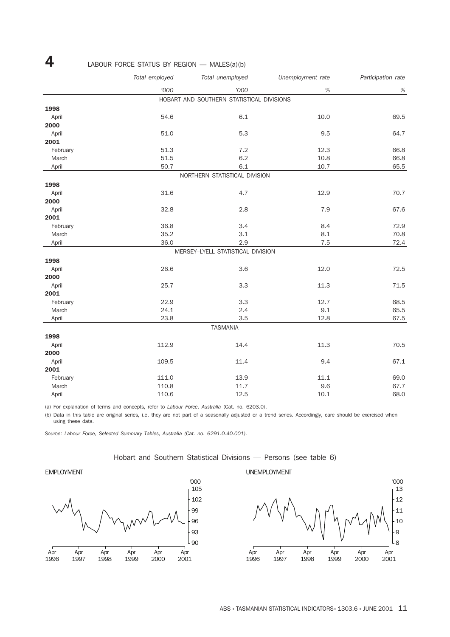|          | Total employed | Total unemployed                          | Unemployment rate | Participation rate |
|----------|----------------|-------------------------------------------|-------------------|--------------------|
|          | '000           | '000                                      | $\%$              | $\%$               |
|          |                | HOBART AND SOUTHERN STATISTICAL DIVISIONS |                   |                    |
| 1998     |                |                                           |                   |                    |
| April    | 54.6           | 6.1                                       | 10.0              | 69.5               |
| 2000     |                |                                           |                   |                    |
| April    | 51.0           | 5.3                                       | 9.5               | 64.7               |
| 2001     |                |                                           |                   |                    |
| February | 51.3           | 7.2                                       | 12.3              | 66.8               |
| March    | 51.5           | 6.2                                       | 10.8              | 66.8               |
| April    | 50.7           | 6.1                                       | 10.7              | 65.5               |
|          |                | NORTHERN STATISTICAL DIVISION             |                   |                    |
| 1998     |                |                                           |                   |                    |
| April    | 31.6           | 4.7                                       | 12.9              | 70.7               |
| 2000     |                |                                           |                   |                    |
| April    | 32.8           | 2.8                                       | 7.9               | 67.6               |
| 2001     |                |                                           |                   |                    |
| February | 36.8           | 3.4                                       | 8.4               | 72.9               |
| March    | 35.2           | 3.1                                       | 8.1               | 70.8               |
| April    | 36.0           | 2.9                                       | 7.5               | 72.4               |
|          |                | MERSEY-LYELL STATISTICAL DIVISION         |                   |                    |
| 1998     |                |                                           |                   |                    |
| April    | 26.6           | 3.6                                       | 12.0              | 72.5               |
| 2000     |                |                                           |                   |                    |
| April    | 25.7           | 3.3                                       | 11.3              | 71.5               |
| 2001     |                |                                           |                   |                    |
| February | 22.9           | 3.3                                       | 12.7              | 68.5               |
| March    | 24.1           | 2.4                                       | 9.1               | 65.5               |
| April    | 23.8           | 3.5                                       | 12.8              | 67.5               |
|          |                | <b>TASMANIA</b>                           |                   |                    |
| 1998     |                |                                           |                   |                    |
| April    | 112.9          | 14.4                                      | 11.3              | 70.5               |
| 2000     |                |                                           |                   |                    |
| April    | 109.5          | 11.4                                      | 9.4               | 67.1               |
| 2001     |                |                                           |                   |                    |
| February | 111.0          | 13.9                                      | 11.1              | 69.0               |
| March    | 110.8          | 11.7                                      | 9.6               | 67.7               |
| April    | 110.6          | 12.5                                      | 10.1              | 68.0               |

(a) For explanation of terms and concepts, refer to *Labour Force, Australia* (Cat. no. 6203.0).

(b) Data in this table are original series, i.e. they are not part of a seasonally adjusted or a trend series. Accordingly, care should be exercised when using these data.

*Source: Labour Force, Selected Summary Tables, Australia (Cat. no. 6291.0.40.001).*

4 LABOUR FORCE STATUS BY REGION — MALES(a)(b)



Hobart and Southern Statistical Divisions — Persons (see table 6)

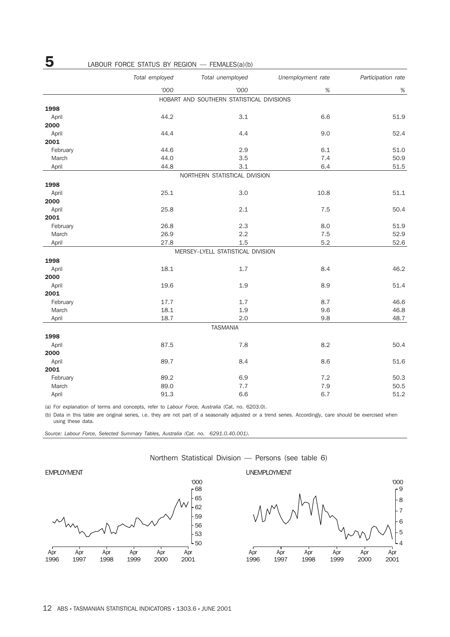|                   | LABOUR FORCE STATUS BY REGION - FEMALES(a)(b)<br>Total employed | Total unemployed                          | Unemployment rate | Participation rate |
|-------------------|-----------------------------------------------------------------|-------------------------------------------|-------------------|--------------------|
|                   |                                                                 |                                           |                   |                    |
|                   | '000                                                            | '000                                      | $\%$              | $\%$               |
|                   |                                                                 | HOBART AND SOUTHERN STATISTICAL DIVISIONS |                   |                    |
| 1998              |                                                                 |                                           |                   |                    |
| April             | 44.2                                                            | 3.1                                       | 6.6               | 51.9               |
| 2000              |                                                                 |                                           |                   |                    |
| April<br>2001     | 44.4                                                            | 4.4                                       | 9.0               | 52.4               |
|                   | 44.6                                                            | 2.9                                       | 6.1               |                    |
| February<br>March | 44.0                                                            | 3.5                                       | 7.4               | 51.0<br>50.9       |
| April             | 44.8                                                            | 3.1                                       | 6.4               | 51.5               |
|                   |                                                                 | NORTHERN STATISTICAL DIVISION             |                   |                    |
|                   |                                                                 |                                           |                   |                    |
| 1998              |                                                                 |                                           |                   |                    |
| April             | 25.1                                                            | 3.0                                       | 10.8              | 51.1               |
| 2000              | 25.8                                                            | 2.1                                       | 7.5               | 50.4               |
| April<br>2001     |                                                                 |                                           |                   |                    |
| February          | 26.8                                                            | 2.3                                       | 8.0               | 51.9               |
| March             | 26.9                                                            | 2.2                                       | 7.5               | 52.9               |
| April             | 27.8                                                            | 1.5                                       | 5.2               | 52.6               |
|                   |                                                                 | MERSEY-LYELL STATISTICAL DIVISION         |                   |                    |
| 1998              |                                                                 |                                           |                   |                    |
| April             | 18.1                                                            | 1.7                                       | 8.4               | 46.2               |
| 2000              |                                                                 |                                           |                   |                    |
| April             | 19.6                                                            | 1.9                                       | 8.9               | 51.4               |
| 2001              |                                                                 |                                           |                   |                    |
| February          | 17.7                                                            | 1.7                                       | 8.7               | 46.6               |
| March             | 18.1                                                            | 1.9                                       | 9.6               | 46.8               |
| April             | 18.7                                                            | 2.0                                       | 9.8               | 48.7               |
|                   |                                                                 | <b>TASMANIA</b>                           |                   |                    |
| 1998              |                                                                 |                                           |                   |                    |
| April             | 87.5                                                            | 7.8                                       | 8.2               | 50.4               |
| 2000              |                                                                 |                                           |                   |                    |
| April             | 89.7                                                            | 8.4                                       | 8.6               | 51.6               |
| 2001              |                                                                 |                                           |                   |                    |
| February          | 89.2                                                            | 6.9                                       | 7.2               | 50.3               |
| March             | 89.0                                                            | 7.7                                       | 7.9               | 50.5               |
| April             | 91.3                                                            | 6.6                                       | 6.7               | 51.2               |

(a) For explanation of terms and concepts, refer to *Labour Force, Australia* (Cat. no. 6203.0).

(b) Data in this table are original series, i.e. they are not part of a seasonally adjusted or a trend series. Accordingly, care should be exercised when using these data.

*Source: Labour Force, Selected Summary Tables, Australia (Cat. no. 6291.0.40.001).*





Northern Statistical Division — Persons (see table 6)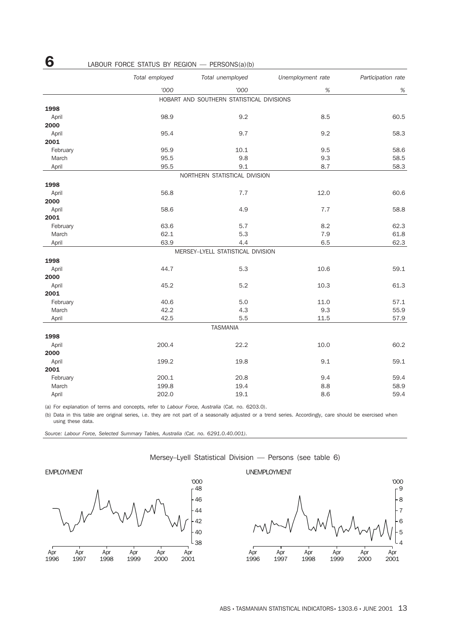|          | Total employed | Total unemployed                          | Unemployment rate | Participation rate |
|----------|----------------|-------------------------------------------|-------------------|--------------------|
|          | '000           | '000                                      | $\%$              | $\%$               |
|          |                | HOBART AND SOUTHERN STATISTICAL DIVISIONS |                   |                    |
| 1998     |                |                                           |                   |                    |
| April    | 98.9           | 9.2                                       | 8.5               | 60.5               |
| 2000     |                |                                           |                   |                    |
| April    | 95.4           | 9.7                                       | 9.2               | 58.3               |
| 2001     |                |                                           |                   |                    |
| February | 95.9           | 10.1                                      | 9.5               | 58.6               |
| March    | 95.5           | 9.8                                       | 9.3               | 58.5               |
| April    | 95.5           | 9.1                                       | 8.7               | 58.3               |
|          |                | NORTHERN STATISTICAL DIVISION             |                   |                    |
| 1998     |                |                                           |                   |                    |
| April    | 56.8           | 7.7                                       | 12.0              | 60.6               |
| 2000     |                |                                           |                   |                    |
| April    | 58.6           | 4.9                                       | 7.7               | 58.8               |
| 2001     |                |                                           |                   |                    |
| February | 63.6           | 5.7                                       | 8.2               | 62.3               |
| March    | 62.1           | 5.3                                       | 7.9               | 61.8               |
| April    | 63.9           | 4.4                                       | 6.5               | 62.3               |
|          |                | MERSEY-LYELL STATISTICAL DIVISION         |                   |                    |
| 1998     |                |                                           |                   |                    |
| April    | 44.7           | 5.3                                       | 10.6              | 59.1               |
| 2000     |                |                                           |                   |                    |
| April    | 45.2           | 5.2                                       | 10.3              | 61.3               |
| 2001     |                |                                           |                   |                    |
| February | 40.6           | $5.0\,$                                   | 11.0              | 57.1               |
| March    | 42.2           | 4.3                                       | 9.3               | 55.9               |
| April    | 42.5           | 5.5                                       | 11.5              | 57.9               |
|          |                | <b>TASMANIA</b>                           |                   |                    |
| 1998     |                |                                           |                   |                    |
| April    | 200.4          | 22.2                                      | 10.0              | 60.2               |
| 2000     |                |                                           |                   |                    |
| April    | 199.2          | 19.8                                      | 9.1               | 59.1               |
| 2001     |                |                                           |                   |                    |
| February | 200.1          | 20.8                                      | 9.4               | 59.4               |
| March    | 199.8          | 19.4                                      | 8.8               | 58.9               |
| April    | 202.0          | 19.1                                      | 8.6               | 59.4               |

(a) For explanation of terms and concepts, refer to *Labour Force, Australia* (Cat. no. 6203.0).

(b) Data in this table are original series, i.e. they are not part of a seasonally adjusted or a trend series. Accordingly, care should be exercised when using these data.

*Source: Labour Force, Selected Summary Tables, Australia (Cat. no. 6291.0.40.001).*







6 LABOUR FORCE STATUS BY REGION — PERSONS(a)(b)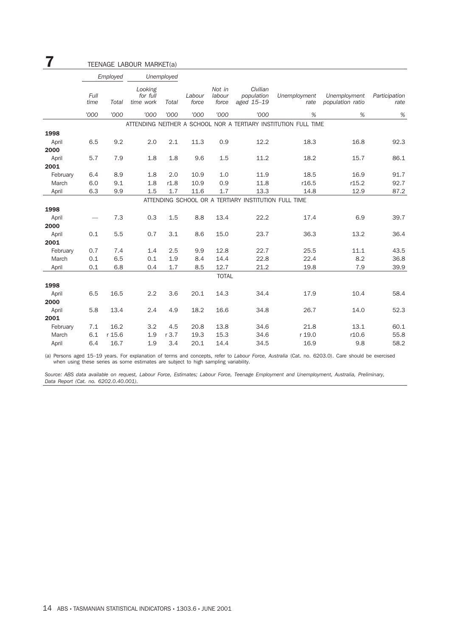| 7                 |              |            | TEENAGE LABOUR MARKET(a)         |            |                 |                           |                                                      |                                                                 |                                  |                       |
|-------------------|--------------|------------|----------------------------------|------------|-----------------|---------------------------|------------------------------------------------------|-----------------------------------------------------------------|----------------------------------|-----------------------|
|                   |              | Employed   |                                  | Unemployed |                 |                           |                                                      |                                                                 |                                  |                       |
|                   | Full<br>time | Total      | Looking<br>for full<br>time work | Total      | Labour<br>force | Not in<br>labour<br>force | Civilian<br>population<br>aged 15-19                 | Unemployment<br>rate                                            | Unemployment<br>population ratio | Participation<br>rate |
|                   | '000         | '000       | '000                             | '000       | '000            | '000                      | '000                                                 | %                                                               | %                                | $\%$                  |
|                   |              |            |                                  |            |                 |                           |                                                      | ATTENDING NEITHER A SCHOOL NOR A TERTIARY INSTITUTION FULL TIME |                                  |                       |
| 1998              |              |            |                                  |            |                 |                           |                                                      |                                                                 |                                  |                       |
| April<br>2000     | 6.5          | 9.2        | 2.0                              | 2.1        | 11.3            | 0.9                       | 12.2                                                 | 18.3                                                            | 16.8                             | 92.3                  |
| April             | 5.7          | 7.9        | 1.8                              | 1.8        | 9.6             | 1.5                       | 11.2                                                 | 18.2                                                            | 15.7                             | 86.1                  |
| 2001              |              |            |                                  |            |                 |                           |                                                      |                                                                 |                                  |                       |
| February          | 6.4          | 8.9        | 1.8                              | 2.0        | 10.9            | 1.0                       | 11.9                                                 | 18.5                                                            | 16.9                             | 91.7                  |
| March             | 6.0          | 9.1        | 1.8                              | r1.8       | 10.9            | 0.9                       | 11.8                                                 | r16.5                                                           | r15.2                            | 92.7                  |
| April             | 6.3          | 9.9        | 1.5                              | 1.7        | 11.6            | 1.7                       | 13.3                                                 | 14.8                                                            | 12.9                             | 87.2                  |
|                   |              |            |                                  |            |                 |                           | ATTENDING SCHOOL OR A TERTIARY INSTITUTION FULL TIME |                                                                 |                                  |                       |
| 1998              |              |            |                                  |            |                 |                           |                                                      |                                                                 |                                  |                       |
| April             |              | 7.3        | 0.3                              | 1.5        | 8.8             | 13.4                      | 22.2                                                 | 17.4                                                            | 6.9                              | 39.7                  |
| 2000              |              |            |                                  |            |                 |                           |                                                      |                                                                 |                                  |                       |
| April<br>2001     | 0.1          | 5.5        | 0.7                              | 3.1        | 8.6             | 15.0                      | 23.7                                                 | 36.3                                                            | 13.2                             | 36.4                  |
|                   |              |            |                                  |            |                 |                           |                                                      |                                                                 | 11.1                             |                       |
| February<br>March | 0.7<br>0.1   | 7.4<br>6.5 | 1.4<br>0.1                       | 2.5<br>1.9 | 9.9<br>8.4      | 12.8<br>14.4              | 22.7<br>22.8                                         | 25.5<br>22.4                                                    | 8.2                              | 43.5<br>36.8          |
| April             | 0.1          | 6.8        | 0.4                              | 1.7        | 8.5             | 12.7                      | 21.2                                                 | 19.8                                                            | 7.9                              | 39.9                  |
|                   |              |            |                                  |            |                 | <b>TOTAL</b>              |                                                      |                                                                 |                                  |                       |
| 1998              |              |            |                                  |            |                 |                           |                                                      |                                                                 |                                  |                       |
| April             | 6.5          | 16.5       | 2.2                              | 3.6        | 20.1            | 14.3                      | 34.4                                                 | 17.9                                                            | 10.4                             | 58.4                  |
| 2000              |              |            |                                  |            |                 |                           |                                                      |                                                                 |                                  |                       |
| April             | 5.8          | 13.4       | 2.4                              | 4.9        | 18.2            | 16.6                      | 34.8                                                 | 26.7                                                            | 14.0                             | 52.3                  |
| 2001              |              |            |                                  |            |                 |                           |                                                      |                                                                 |                                  |                       |
| February          | 7.1          | 16.2       | 3.2                              | 4.5        | 20.8            | 13.8                      | 34.6                                                 | 21.8                                                            | 13.1                             | 60.1                  |
| March             | 6.1          | r 15.6     | 1.9                              | r 3.7      | 19.3            | 15.3                      | 34.6                                                 | r 19.0                                                          | r10.6                            | 55.8                  |
| April             | 6.4          | 16.7       | 1.9                              | 3.4        | 20.1            | 14.4                      | 34.5                                                 | 16.9                                                            | 9.8                              | 58.2                  |

(a) Persons aged 15–19 years. For explanation of terms and concepts, refer to *Labour Force, Australia* (Cat. no. 6203.0). Care should be exercised when using these series as some estimates are subject to high sampling variability.

*Source: ABS data available on request, Labour Force, Estimates; Labour Force, Teenage Employment and Unemployment, Australia, Preliminary, Data Report (Cat. no. 6202.0.40.001).*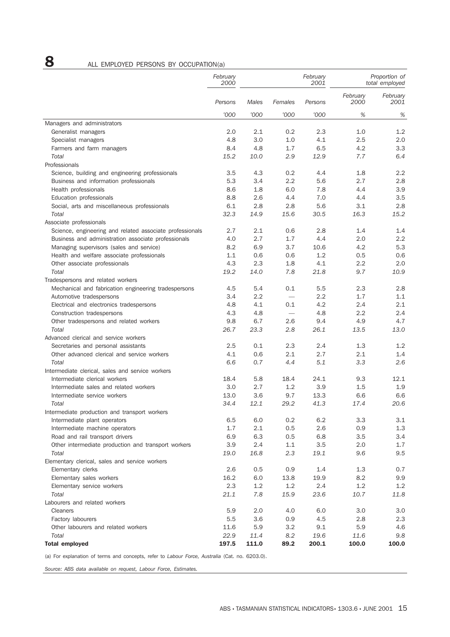# 8 ALL EMPLOYED PERSONS BY OCCUPATION(a)

|                                                          | February<br>2000 |            |                          | February<br>2001 |                  | Proportion of<br>total employed |
|----------------------------------------------------------|------------------|------------|--------------------------|------------------|------------------|---------------------------------|
|                                                          | Persons          | Males      | Females                  | Persons          | February<br>2000 | February<br>2001                |
|                                                          | '000             | '000       | '000                     | '000             | %                | $\%$                            |
| Managers and administrators                              |                  |            |                          |                  |                  |                                 |
| Generalist managers                                      | 2.0              | 2.1        | 0.2                      | 2.3              | 1.0              | 1.2                             |
| Specialist managers                                      | 4.8              | 3.0        | 1.0                      | 4.1              | 2.5              | 2.0                             |
| Farmers and farm managers                                | 8.4              | 4.8        | 1.7                      | 6.5              | 4.2              | 3.3                             |
| Total                                                    | 15.2             | 10.0       | 2.9                      | 12.9             | 7.7              | 6.4                             |
| Professionals                                            |                  |            |                          |                  |                  |                                 |
| Science, building and engineering professionals          | 3.5              | 4.3        | 0.2                      | 4.4              | 1.8              | 2.2                             |
| Business and information professionals                   | 5.3              | 3.4        | 2.2                      | 5.6              | 2.7              | 2.8                             |
| Health professionals                                     | 8.6              | 1.8        | 6.0                      | 7.8              | 4.4              | 3.9                             |
| Education professionals                                  | 8.8              | 2.6        | 4.4                      | 7.0              | 4.4              | 3.5                             |
| Social, arts and miscellaneous professionals             | 6.1              | 2.8        | 2.8                      | 5.6              | 3.1              | 2.8                             |
| Total                                                    | 32.3             | 14.9       | 15.6                     | 30.5             | 16.3             | 15.2                            |
| Associate professionals                                  |                  |            |                          |                  |                  |                                 |
| Science, engineering and related associate professionals | 2.7              | 2.1        | 0.6                      | 2.8              | 1.4              | 1.4                             |
| Business and administration associate professionals      | 4.0              | 2.7        | 1.7                      | 4.4              | 2.0<br>4.2       | 2.2<br>5.3                      |
| Managing supervisors (sales and service)                 | 8.2<br>1.1       | 6.9        | 3.7                      | 10.6<br>1.2      | 0.5              | 0.6                             |
| Health and welfare associate professionals               | 4.3              | 0.6<br>2.3 | 0.6<br>1.8               | 4.1              | 2.2              | 2.0                             |
| Other associate professionals<br>Total                   | 19.2             | 14.0       | 7.8                      | 21.8             | 9.7              | 10.9                            |
| Tradespersons and related workers                        |                  |            |                          |                  |                  |                                 |
| Mechanical and fabrication engineering tradespersons     | 4.5              | 5.4        | 0.1                      | 5.5              | 2.3              | 2.8                             |
| Automotive tradespersons                                 | 3.4              | 2.2        | $\overline{\phantom{0}}$ | 2.2              | 1.7              | 1.1                             |
| Electrical and electronics tradespersons                 | 4.8              | 4.1        | 0.1                      | 4.2              | 2.4              | 2.1                             |
| Construction tradespersons                               | 4.3              | 4.8        | $\equiv$                 | 4.8              | 2.2              | 2.4                             |
| Other tradespersons and related workers                  | 9.8              | 6.7        | 2.6                      | 9.4              | 4.9              | 4.7                             |
| Total                                                    | 26.7             | 23.3       | 2.8                      | 26.1             | 13.5             | 13.0                            |
| Advanced clerical and service workers                    |                  |            |                          |                  |                  |                                 |
| Secretaries and personal assistants                      | 2.5              | 0.1        | 2.3                      | 2.4              | 1.3              | 1.2                             |
| Other advanced clerical and service workers              | 4.1              | 0.6        | 2.1                      | 2.7              | 2.1              | 1.4                             |
| Total                                                    | 6.6              | 0.7        | 4.4                      | 5.1              | 3.3              | 2.6                             |
| Intermediate clerical, sales and service workers         |                  |            |                          |                  |                  |                                 |
| Intermediate clerical workers                            | 18.4             | 5.8        | 18.4                     | 24.1             | 9.3              | 12.1                            |
| Intermediate sales and related workers                   | 3.0              | 2.7        | 1.2                      | 3.9              | 1.5              | 1.9                             |
| Intermediate service workers                             | 13.0             | 3.6        | 9.7                      | 13.3             | 6.6              | 6.6                             |
| Total                                                    | 34.4             | 12.1       | 29.2                     | 41.3             | 17.4             | 20.6                            |
| Intermediate production and transport workers            |                  |            |                          |                  |                  |                                 |
| Intermediate plant operators                             | 6.5              | 6.0        | 0.2                      | 6.2              | 3.3              | 3.1                             |
| Intermediate machine operators                           | 1.7              | 2.1        | 0.5                      | 2.6              | 0.9              | 1.3                             |
| Road and rail transport drivers                          | 6.9              | 6.3        | 0.5                      | 6.8              | 3.5              | 3.4                             |
| Other intermediate production and transport workers      | 3.9              | 2.4        | 1.1                      | 3.5              | 2.0              | 1.7                             |
| Total                                                    | 19.0             | 16.8       | 2.3                      | 19.1             | 9.6              | 9.5                             |
| Elementary clerical, sales and service workers           |                  |            |                          |                  |                  |                                 |
| Elementary clerks                                        | 2.6              | 0.5        | 0.9                      | 1.4              | 1.3              | 0.7                             |
| Elementary sales workers                                 | 16.2             | 6.0        | 13.8                     | 19.9             | 8.2              | 9.9                             |
| Elementary service workers                               | 2.3              | 1.2        | 1.2                      | 2.4              | 1.2              | 1.2                             |
| Total                                                    | 21.1             | 7.8        | 15.9                     | 23.6             | 10.7             | 11.8                            |
| Labourers and related workers                            |                  |            |                          |                  |                  |                                 |
| Cleaners                                                 | 5.9              | 2.0        | 4.0                      | 6.0              | 3.0              | 3.0                             |
| Factory labourers                                        | 5.5              | 3.6        | 0.9                      | 4.5              | 2.8              | 2.3                             |
| Other labourers and related workers                      | 11.6             | 5.9        | 3.2                      | 9.1              | 5.9              | 4.6                             |
| Total                                                    | 22.9             | 11.4       | 8.2                      | 19.6             | 11.6             | 9.8                             |
| <b>Total employed</b>                                    | 197.5            | 111.0      | 89.2                     | 200.1            | 100.0            | 100.0                           |

(a) For explanation of terms and concepts, refer to *Labour Force, Australia* (Cat. no. 6203.0).

*Source: ABS data available on request, Labour Force, Estimates.*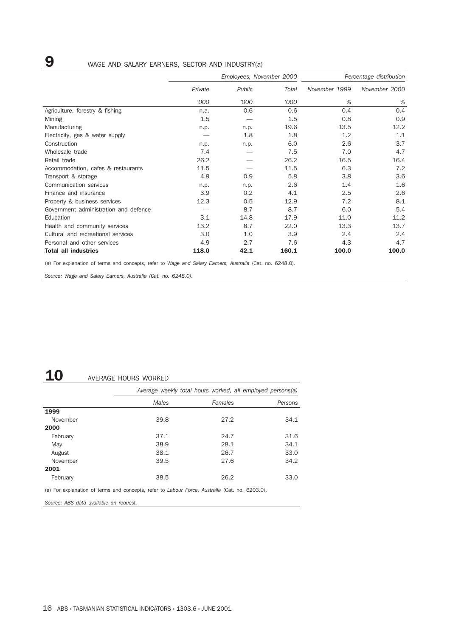# 9 WAGE AND SALARY EARNERS, SECTOR AND INDUSTRY(a)

|                                       |         | Employees, November 2000 |       | Percentage distribution |               |
|---------------------------------------|---------|--------------------------|-------|-------------------------|---------------|
|                                       | Private | Public                   | Total | November 1999           | November 2000 |
|                                       | '000    | '000                     | '000  | %                       | %             |
| Agriculture, forestry & fishing       | n.a.    | 0.6                      | 0.6   | 0.4                     | 0.4           |
| Mining                                | 1.5     |                          | 1.5   | 0.8                     | 0.9           |
| Manufacturing                         | n.p.    | n.p.                     | 19.6  | 13.5                    | 12.2          |
| Electricity, gas & water supply       |         | 1.8                      | 1.8   | 1.2                     | 1.1           |
| Construction                          | n.p.    | n.p.                     | 6.0   | 2.6                     | 3.7           |
| Wholesale trade                       | 7.4     |                          | 7.5   | 7.0                     | 4.7           |
| Retail trade                          | 26.2    |                          | 26.2  | 16.5                    | 16.4          |
| Accommodation, cafes & restaurants    | 11.5    |                          | 11.5  | 6.3                     | 7.2           |
| Transport & storage                   | 4.9     | 0.9                      | 5.8   | 3.8                     | 3.6           |
| Communication services                | n.p.    | n.p.                     | 2.6   | 1.4                     | 1.6           |
| Finance and insurance                 | 3.9     | 0.2                      | 4.1   | 2.5                     | 2.6           |
| Property & business services          | 12.3    | 0.5                      | 12.9  | 7.2                     | 8.1           |
| Government administration and defence |         | 8.7                      | 8.7   | 6.0                     | 5.4           |
| Education                             | 3.1     | 14.8                     | 17.9  | 11.0                    | 11.2          |
| Health and community services         | 13.2    | 8.7                      | 22.0  | 13.3                    | 13.7          |
| Cultural and recreational services    | 3.0     | 1.0                      | 3.9   | 2.4                     | 2.4           |
| Personal and other services           | 4.9     | 2.7                      | 7.6   | 4.3                     | 4.7           |
| <b>Total all industries</b>           | 118.0   | 42.1                     | 160.1 | 100.0                   | 100.0         |

(a) For explanation of terms and concepts, refer to *Wage and Salary Earners, Australia* (Cat. no. 6248.0).

*Source: Wage and Salary Earners, Australia (Cat. no. 6248.0).*

## 10 AVERAGE HOURS WORKED

|          |                                                                                                | Average weekly total hours worked, all employed persons(a) |         |  |  |  |
|----------|------------------------------------------------------------------------------------------------|------------------------------------------------------------|---------|--|--|--|
|          | Males                                                                                          | Females                                                    | Persons |  |  |  |
| 1999     |                                                                                                |                                                            |         |  |  |  |
| November | 39.8                                                                                           | 27.2                                                       | 34.1    |  |  |  |
| 2000     |                                                                                                |                                                            |         |  |  |  |
| February | 37.1                                                                                           | 24.7                                                       | 31.6    |  |  |  |
| May      | 38.9                                                                                           | 28.1                                                       | 34.1    |  |  |  |
| August   | 38.1                                                                                           | 26.7                                                       | 33.0    |  |  |  |
| November | 39.5                                                                                           | 27.6                                                       | 34.2    |  |  |  |
| 2001     |                                                                                                |                                                            |         |  |  |  |
| February | 38.5                                                                                           | 26.2                                                       | 33.0    |  |  |  |
|          | (a) For explanation of terms and concepts, refer to Labour Force, Australia (Cat. no. 6203.0). |                                                            |         |  |  |  |

*Source: ABS data available on request.*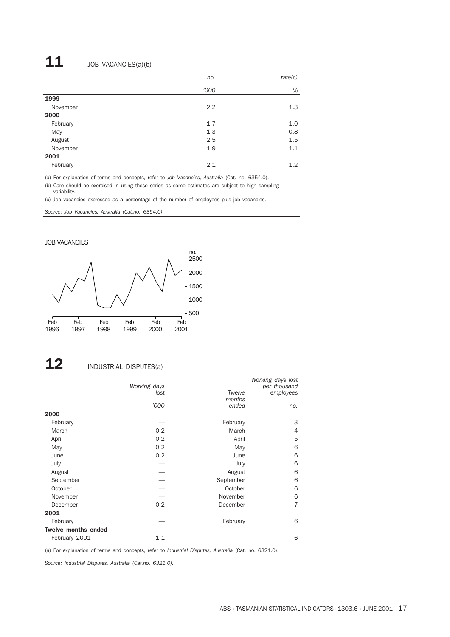# $11$  JOB VACANCIES(a)(b)

|          | no.  | rate(c) |
|----------|------|---------|
|          | '000 | $\%$    |
| 1999     |      |         |
| November | 2.2  | 1.3     |
| 2000     |      |         |
| February | 1.7  | 1.0     |
| May      | 1.3  | 0.8     |
| August   | 2.5  | 1.5     |
| November | 1.9  | 1.1     |
| 2001     |      |         |
| February | 2.1  | 1.2     |

(a) For explanation of terms and concepts, refer to *Job Vacancies, Australia* (Cat. no. 6354.0).

(b) Care should be exercised in using these series as some estimates are subject to high sampling variability.

(c) Job vacancies expressed as a percentage of the number of employees plus job vacancies.

*Source: Job Vacancies, Australia (Cat.no. 6354.0).*

### JOB VACANCIES



# 12 INDUSTRIAL DISPUTES(a)

|                            | Working days<br>lost<br>'000 | Twelve<br>months<br>ended | Working days lost<br>per thousand<br>employees<br>no. |
|----------------------------|------------------------------|---------------------------|-------------------------------------------------------|
| 2000                       |                              |                           |                                                       |
| February                   |                              | February                  | 3                                                     |
| March                      | 0.2                          | March                     | 4                                                     |
| April                      | 0.2                          | April                     | 5                                                     |
| May                        | 0.2                          | May                       | 6                                                     |
| June                       | 0.2                          | June                      | 6                                                     |
| July                       |                              | July                      | 6                                                     |
| August                     |                              | August                    | 6                                                     |
| September                  |                              | September                 | 6                                                     |
| October                    |                              | October                   | 6                                                     |
| November                   |                              | November                  | 6                                                     |
| December                   | 0.2                          | December                  | $\overline{7}$                                        |
| 2001                       |                              |                           |                                                       |
| February                   |                              | February                  | 6                                                     |
| <b>Twelve months ended</b> |                              |                           |                                                       |
| February 2001              | 1.1                          |                           | 6                                                     |

(a) For explanation of terms and concepts, refer to *Industrial Disputes, Australia* (Cat. no. 6321.0).

*Source: Industrial Disputes, Australia (Cat.no. 6321.0).*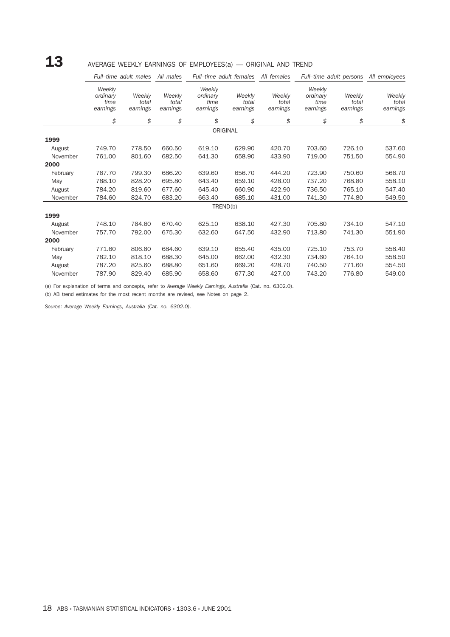# ${\bf 13}$  AVERAGE WEEKLY EARNINGS OF EMPLOYEES(a) — ORIGINAL AND TREND

|          |                                        | Full-time adult males       | All males                   | Full-time adult females                |                             | All females                 | Full-time adult persons                |                             | All employees               |
|----------|----------------------------------------|-----------------------------|-----------------------------|----------------------------------------|-----------------------------|-----------------------------|----------------------------------------|-----------------------------|-----------------------------|
|          | Weekly<br>ordinary<br>time<br>earnings | Weekly<br>total<br>earnings | Weekly<br>total<br>earnings | Weekly<br>ordinary<br>time<br>earnings | Weekly<br>total<br>earnings | Weekly<br>total<br>earnings | Weekly<br>ordinary<br>time<br>earnings | Weekly<br>total<br>earnings | Weekly<br>total<br>earnings |
|          | \$                                     | \$                          | \$                          | \$                                     | \$                          | \$                          | \$                                     | \$                          | \$                          |
|          |                                        |                             |                             |                                        | ORIGINAL                    |                             |                                        |                             |                             |
| 1999     |                                        |                             |                             |                                        |                             |                             |                                        |                             |                             |
| August   | 749.70                                 | 778.50                      | 660.50                      | 619.10                                 | 629.90                      | 420.70                      | 703.60                                 | 726.10                      | 537.60                      |
| November | 761.00                                 | 801.60                      | 682.50                      | 641.30                                 | 658.90                      | 433.90                      | 719.00                                 | 751.50                      | 554.90                      |
| 2000     |                                        |                             |                             |                                        |                             |                             |                                        |                             |                             |
| February | 767.70                                 | 799.30                      | 686.20                      | 639.60                                 | 656.70                      | 444.20                      | 723.90                                 | 750.60                      | 566.70                      |
| May      | 788.10                                 | 828.20                      | 695.80                      | 643.40                                 | 659.10                      | 428.00                      | 737.20                                 | 768.80                      | 558.10                      |
| August   | 784.20                                 | 819.60                      | 677.60                      | 645.40                                 | 660.90                      | 422.90                      | 736.50                                 | 765.10                      | 547.40                      |
| November | 784.60                                 | 824.70                      | 683.20                      | 663.40                                 | 685.10                      | 431.00                      | 741.30                                 | 774.80                      | 549.50                      |
|          |                                        |                             |                             |                                        | TREND(b)                    |                             |                                        |                             |                             |
| 1999     |                                        |                             |                             |                                        |                             |                             |                                        |                             |                             |
| August   | 748.10                                 | 784.60                      | 670.40                      | 625.10                                 | 638.10                      | 427.30                      | 705.80                                 | 734.10                      | 547.10                      |
| November | 757.70                                 | 792.00                      | 675.30                      | 632.60                                 | 647.50                      | 432.90                      | 713.80                                 | 741.30                      | 551.90                      |
| 2000     |                                        |                             |                             |                                        |                             |                             |                                        |                             |                             |
| February | 771.60                                 | 806.80                      | 684.60                      | 639.10                                 | 655.40                      | 435.00                      | 725.10                                 | 753.70                      | 558.40                      |
| May      | 782.10                                 | 818.10                      | 688.30                      | 645.00                                 | 662.00                      | 432.30                      | 734.60                                 | 764.10                      | 558.50                      |
| August   | 787.20                                 | 825.60                      | 688.80                      | 651.60                                 | 669.20                      | 428.70                      | 740.50                                 | 771.60                      | 554.50                      |
| November | 787.90                                 | 829.40                      | 685.90                      | 658.60                                 | 677.30                      | 427.00                      | 743.20                                 | 776.80                      | 549.00                      |

(a) For explanation of terms and concepts, refer to *Average Weekly Earnings, Australia* (Cat. no. 6302.0).

(b) AB trend estimates for the most recent months are revised, see Notes on page 2.

*Source: Average Weekly Earnings, Australia (Cat. no. 6302.0).*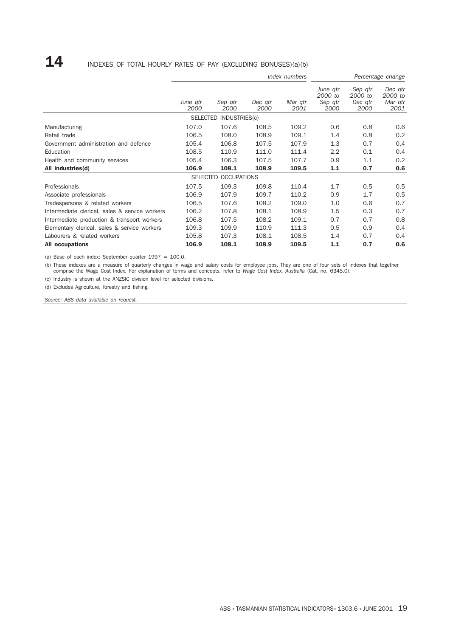## $\mathbf{14}$  INDEXES OF TOTAL HOURLY RATES OF PAY (EXCLUDING BONUSES)(a)(b)

|                                                |                  |                        |                 | Index numbers   |                                        |                                       | Percentage change                     |
|------------------------------------------------|------------------|------------------------|-----------------|-----------------|----------------------------------------|---------------------------------------|---------------------------------------|
|                                                | June atr<br>2000 | Sep qtr<br>2000        | Dec atr<br>2000 | Mar qtr<br>2001 | June atr<br>2000 to<br>Sep gtr<br>2000 | Sep qtr<br>2000 to<br>Dec atr<br>2000 | Dec atr<br>2000 to<br>Mar qtr<br>2001 |
|                                                |                  | SELECTED INDUSTRIES(c) |                 |                 |                                        |                                       |                                       |
| Manufacturing                                  | 107.0            | 107.6                  | 108.5           | 109.2           | 0.6                                    | 0.8                                   | 0.6                                   |
| Retail trade                                   | 106.5            | 108.0                  | 108.9           | 109.1           | 1.4                                    | 0.8                                   | 0.2                                   |
| Government administration and defence          | 105.4            | 106.8                  | 107.5           | 107.9           | 1.3                                    | 0.7                                   | 0.4                                   |
| Education                                      | 108.5            | 110.9                  | 111.0           | 111.4           | 2.2                                    | 0.1                                   | 0.4                                   |
| Health and community services                  | 105.4            | 106.3                  | 107.5           | 107.7           | 0.9                                    | 1.1                                   | 0.2                                   |
| All industries(d)                              | 106.9            | 108.1                  | 108.9           | 109.5           | 1.1                                    | 0.7                                   | 0.6                                   |
|                                                |                  | SELECTED OCCUPATIONS   |                 |                 |                                        |                                       |                                       |
| Professionals                                  | 107.5            | 109.3                  | 109.8           | 110.4           | 1.7                                    | 0.5                                   | 0.5                                   |
| Associate professionals                        | 106.9            | 107.9                  | 109.7           | 110.2           | 0.9                                    | 1.7                                   | 0.5                                   |
| Tradespersons & related workers                | 106.5            | 107.6                  | 108.2           | 109.0           | 1.0                                    | 0.6                                   | 0.7                                   |
| Intermediate clerical, sales & service workers | 106.2            | 107.8                  | 108.1           | 108.9           | 1.5                                    | 0.3                                   | 0.7                                   |
| Intermediate production & transport workers    | 106.8            | 107.5                  | 108.2           | 109.1           | 0.7                                    | 0.7                                   | 0.8                                   |
| Elementary clerical, sales & service workers   | 109.3            | 109.9                  | 110.9           | 111.3           | 0.5                                    | 0.9                                   | 0.4                                   |
| Labourers & related workers                    | 105.8            | 107.3                  | 108.1           | 108.5           | 1.4                                    | 0.7                                   | 0.4                                   |
| <b>All occupations</b>                         | 106.9            | 108.1                  | 108.9           | 109.5           | 1.1                                    | 0.7                                   | 0.6                                   |

(a) Base of each index: September quarter  $1997 = 100.0$ .

(b) These indexes are a measure of quarterly changes in wage and salary costs for employee jobs. They are one of four sets of indexes that together comprise the Wage Cost Index. For explanation of terms and concepts, refer to *Wage Cost Index, Australia* (Cat. no. 6345.0).

(c) Industry is shown at the ANZSIC division level for selected divisions.

(d) Excludes Agriculture, forestry and fishing.

*Source: ABS data available on request.*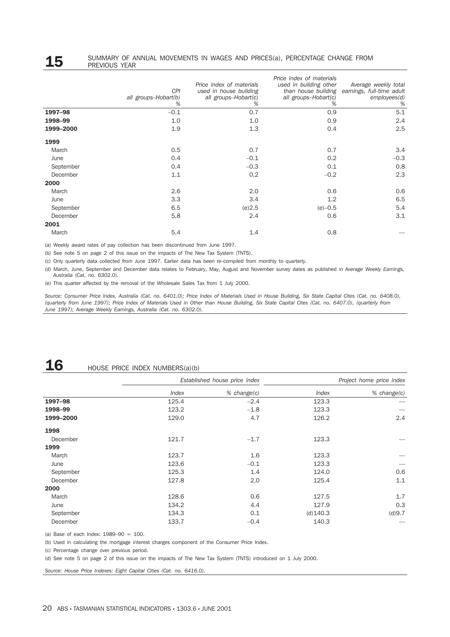### **15** SUMMARY OF ANNUAL MOVEMENTS IN WAGES AND PRICES(a), PERCENTAGE CHANGE FROM<br>PREVIOUS YEAR PREVIOUS YEAR

|           | <b>CPI</b><br>all groups-Hobart(b)<br>% | Price index of materials<br>used in house building<br>all groups-Hobart(c)<br>% | Price index of materials<br>used in building other<br>all groups-Hobart(c)<br>% | Average weekly total<br>than house building earnings, full-time adult<br>employees(d)<br>% |
|-----------|-----------------------------------------|---------------------------------------------------------------------------------|---------------------------------------------------------------------------------|--------------------------------------------------------------------------------------------|
| 1997-98   | $-0.1$                                  | 0.7                                                                             | 0.9                                                                             | 5.1                                                                                        |
| 1998-99   | 1.0                                     | 1.0                                                                             | 0.9                                                                             | 2.4                                                                                        |
| 1999-2000 | 1.9                                     | 1.3                                                                             | 0.4                                                                             | 2.5                                                                                        |
| 1999      |                                         |                                                                                 |                                                                                 |                                                                                            |
| March     | 0.5                                     | 0.7                                                                             | 0.7                                                                             | 3.4                                                                                        |
| June      | 0.4                                     | $-0.1$                                                                          | 0.2                                                                             | $-0.3$                                                                                     |
| September | 0.4                                     | $-0.3$                                                                          | 0.1                                                                             | 0.8                                                                                        |
| December  | 1.1                                     | 0.2                                                                             | $-0.2$                                                                          | 2.3                                                                                        |
| 2000      |                                         |                                                                                 |                                                                                 |                                                                                            |
| March     | 2.6                                     | 2.0                                                                             | 0.6                                                                             | 0.6                                                                                        |
| June      | 3.3                                     | 3.4                                                                             | 1.2                                                                             | 6.5                                                                                        |
| September | 6.5                                     | (e)2.5                                                                          | $(e) - 0.5$                                                                     | 5.4                                                                                        |
| December  | 5.8                                     | 2.4                                                                             | 0.6                                                                             | 3.1                                                                                        |
| 2001      |                                         |                                                                                 |                                                                                 |                                                                                            |
| March     | 5.4                                     | 1.4                                                                             | 0.8                                                                             |                                                                                            |

(a) Weekly award rates of pay collection has been discontinued from June 1997.

(b) See note 5 on page 2 of this issue on the impacts of The New Tax System (TNTS).

(c) Only quarterly data collected from June 1997. Earlier data has been re-compiled from monthly to quarterly.

(d) March, June, September and December data relates to February, May, August and November survey dates as published in *Average Weekly Earnings, Australia* (Cat. no. 6302.0).

(e) This quarter affected by the removal of the Wholesale Sales Tax from 1 July 2000.

*Source: Consumer Price Index, Australia (Cat. no. 6401.0); Price Index of Materials Used in House Building, Six State Capital Cites (Cat. no. 6408.0), (quarterly from June 1997); Price Index of Materials Used in Other than House Building, Six State Capital Cites (Cat. no. 6407.0), (quarterly from June 1997); Average Weekly Earnings, Australia (Cat. no. 6302.0).*

# $16$  HOUSE PRICE INDEX NUMBERS(a)(b)

|           |       | Established house price index |             | Project home price index |
|-----------|-------|-------------------------------|-------------|--------------------------|
|           | Index | $%$ change $(c)$              | Index       | $%$ change $(c)$         |
| 1997-98   | 125.4 | $-2.4$                        | 123.3       |                          |
| 1998-99   | 123.2 | $-1.8$                        | 123.3       |                          |
| 1999-2000 | 129.0 | 4.7                           | 126.2       | $2.4\,$                  |
| 1998      |       |                               |             |                          |
| December  | 121.7 | $-1.7$                        | 123.3       |                          |
| 1999      |       |                               |             |                          |
| March     | 123.7 | 1.6                           | 123.3       |                          |
| June      | 123.6 | $-0.1$                        | 123.3       |                          |
| September | 125.3 | 1.4                           | 124.0       | 0.6                      |
| December  | 127.8 | 2.0                           | 125.4       | 1.1                      |
| 2000      |       |                               |             |                          |
| March     | 128.6 | 0.6                           | 127.5       | 1.7                      |
| June      | 134.2 | 4.4                           | 127.9       | 0.3                      |
| September | 134.3 | 0.1                           | $(d)$ 140.3 | (d)9.7                   |
| December  | 133.7 | $-0.4$                        | 140.3       |                          |

(a) Base of each Index: 1989–90 = 100.

(b) Used in calculating the mortgage interest charges component of the Consumer Price Index.

(c) Percentage change over previous period.

(d) See note 5 on page 2 of this issue on the impacts of The New Tax System (TNTS) introduced on 1 July 2000.

*Source: House Price Indexes: Eight Capital Cities (Cat. no. 6416.0).*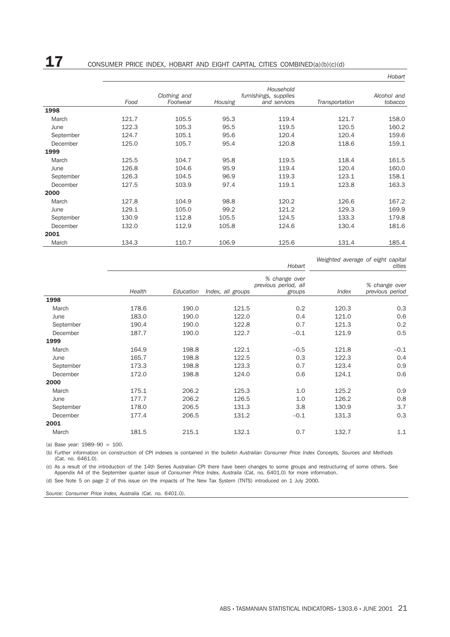|       |                          |         |                                                    |                | <i>HUDAR</i>           |
|-------|--------------------------|---------|----------------------------------------------------|----------------|------------------------|
| Food  | Clothing and<br>Footwear | Housing | Household<br>furnishings, supplies<br>and services | Transportation | Alcohol and<br>tobacco |
|       |                          |         |                                                    |                |                        |
| 121.7 | 105.5                    | 95.3    | 119.4                                              | 121.7          | 158.0                  |
| 122.3 | 105.3                    | 95.5    | 119.5                                              | 120.5          | 160.2                  |
| 124.7 | 105.1                    | 95.6    | 120.4                                              | 120.4          | 159.6                  |
| 125.0 | 105.7                    | 95.4    | 120.8                                              | 118.6          | 159.1                  |
|       |                          |         |                                                    |                |                        |
| 125.5 | 104.7                    | 95.8    | 119.5                                              | 118.4          | 161.5                  |
| 126.8 | 104.6                    | 95.9    | 119.4                                              | 120.4          | 160.0                  |
| 126.3 | 104.5                    | 96.9    | 119.3                                              | 123.1          | 158.1                  |
| 127.5 | 103.9                    | 97.4    | 119.1                                              | 123.8          | 163.3                  |
|       |                          |         |                                                    |                |                        |
| 127.8 | 104.9                    | 98.8    | 120.2                                              | 126.6          | 167.2                  |
| 129.1 | 105.0                    | 99.2    | 121.2                                              | 129.3          | 169.9                  |
| 130.9 | 112.8                    | 105.5   | 124.5                                              | 133.3          | 179.8                  |
| 132.0 | 112.9                    | 105.8   | 124.6                                              | 130.4          | 181.6                  |
|       |                          |         |                                                    |                |                        |
| 134.3 | 110.7                    | 106.9   | 125.6                                              | 131.4          | 185.4                  |
|       |                          |         |                                                    |                |                        |

*Weighted average of eight capital cities*

*Hobart*

*Hobart*

|           | Health | Education | Index, all groups | % change over<br>previous period, all<br>groups | Index | % change over<br>previous period |
|-----------|--------|-----------|-------------------|-------------------------------------------------|-------|----------------------------------|
| 1998      |        |           |                   |                                                 |       |                                  |
| March     | 178.6  | 190.0     | 121.5             | 0.2                                             | 120.3 | 0.3                              |
| June      | 183.0  | 190.0     | 122.0             | 0.4                                             | 121.0 | 0.6                              |
| September | 190.4  | 190.0     | 122.8             | 0.7                                             | 121.3 | 0.2                              |
| December  | 187.7  | 190.0     | 122.7             | $-0.1$                                          | 121.9 | 0.5                              |
| 1999      |        |           |                   |                                                 |       |                                  |
| March     | 164.9  | 198.8     | 122.1             | $-0.5$                                          | 121.8 | $-0.1$                           |
| June      | 165.7  | 198.8     | 122.5             | 0.3                                             | 122.3 | 0.4                              |
| September | 173.3  | 198.8     | 123.3             | 0.7                                             | 123.4 | 0.9                              |
| December  | 172.0  | 198.8     | 124.0             | 0.6                                             | 124.1 | 0.6                              |
| 2000      |        |           |                   |                                                 |       |                                  |
| March     | 175.1  | 206.2     | 125.3             | 1.0                                             | 125.2 | 0.9                              |
| June      | 177.7  | 206.2     | 126.5             | 1.0                                             | 126.2 | 0.8                              |
| September | 178.0  | 206.5     | 131.3             | 3.8                                             | 130.9 | 3.7                              |
| December  | 177.4  | 206.5     | 131.2             | $-0.1$                                          | 131.3 | 0.3                              |
| 2001      |        |           |                   |                                                 |       |                                  |
| March     | 181.5  | 215.1     | 132.1             | 0.7                                             | 132.7 | 1.1                              |

(a) Base year: 1989–90 = 100.

(b) Further information on construction of CPI indexes is contained in the bulletin *Australian Consumer Price Index Concepts, Sources and Methods* (Cat. no. 6461.0).

(c) As a result of the introduction of the 14th Series Australian CPI there have been changes to some groups and restructuring of some others. See Appendix A4 of the September quarter issue of *Consumer Price Index, Australia* (Cat. no. 6401.0) for more information.

(d) See Note 5 on page 2 of this issue on the impacts of The New Tax System (TNTS) introduced on 1 July 2000.

*Source: Consumer Price Index, Australia (Cat. no. 6401.0).*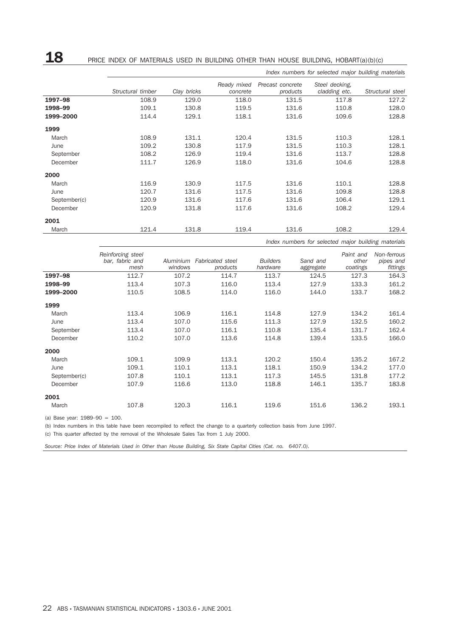18 PRICE INDEX OF MATERIALS USED IN BUILDING OTHER THAN HOUSE BUILDING, HOBART(a)(b)(c)

|              | Index numbers for selected major building materials |             |                         |                              |                                 |                  |  |  |  |  |
|--------------|-----------------------------------------------------|-------------|-------------------------|------------------------------|---------------------------------|------------------|--|--|--|--|
|              | Structural timber                                   | Clay bricks | Ready mixed<br>concrete | Precast concrete<br>products | Steel decking.<br>cladding etc. | Structural steel |  |  |  |  |
| 1997-98      | 108.9                                               | 129.0       | 118.0                   | 131.5                        | 117.8                           | 127.2            |  |  |  |  |
| 1998-99      | 109.1                                               | 130.8       | 119.5                   | 131.6                        | 110.8                           | 128.0            |  |  |  |  |
| 1999-2000    | 114.4                                               | 129.1       | 118.1                   | 131.6                        | 109.6                           | 128.8            |  |  |  |  |
| 1999         |                                                     |             |                         |                              |                                 |                  |  |  |  |  |
| March        | 108.9                                               | 131.1       | 120.4                   | 131.5                        | 110.3                           | 128.1            |  |  |  |  |
| June         | 109.2                                               | 130.8       | 117.9                   | 131.5                        | 110.3                           | 128.1            |  |  |  |  |
| September    | 108.2                                               | 126.9       | 119.4                   | 131.6                        | 113.7                           | 128.8            |  |  |  |  |
| December     | 111.7                                               | 126.9       | 118.0                   | 131.6                        | 104.6                           | 128.8            |  |  |  |  |
| 2000         |                                                     |             |                         |                              |                                 |                  |  |  |  |  |
| March        | 116.9                                               | 130.9       | 117.5                   | 131.6                        | 110.1                           | 128.8            |  |  |  |  |
| June         | 120.7                                               | 131.6       | 117.5                   | 131.6                        | 109.8                           | 128.8            |  |  |  |  |
| September(c) | 120.9                                               | 131.6       | 117.6                   | 131.6                        | 106.4                           | 129.1            |  |  |  |  |
| December     | 120.9                                               | 131.8       | 117.6                   | 131.6                        | 108.2                           | 129.4            |  |  |  |  |
| 2001         |                                                     |             |                         |                              |                                 |                  |  |  |  |  |
| March        | 121.4                                               | 131.8       | 119.4                   | 131.6                        | 108.2                           | 129.4            |  |  |  |  |

*Index numbers for selected major building materials*

|              | Reinforcing steel<br>bar, fabric and | Aluminium | <b>Fabricated</b> steel | <b>Builders</b> | Sand and  | Paint and<br>other | Non-ferrous<br>pipes and |
|--------------|--------------------------------------|-----------|-------------------------|-----------------|-----------|--------------------|--------------------------|
|              | mesh                                 | windows   | products                | hardware        | aggregate | coatings           | fittings                 |
| 1997-98      | 112.7                                | 107.2     | 114.7                   | 113.7           | 124.5     | 127.3              | 164.3                    |
| 1998-99      | 113.4                                | 107.3     | 116.0                   | 113.4           | 127.9     | 133.3              | 161.2                    |
| 1999-2000    | 110.5                                | 108.5     | 114.0                   | 116.0           | 144.0     | 133.7              | 168.2                    |
| 1999         |                                      |           |                         |                 |           |                    |                          |
| March        | 113.4                                | 106.9     | 116.1                   | 114.8           | 127.9     | 134.2              | 161.4                    |
| June         | 113.4                                | 107.0     | 115.6                   | 111.3           | 127.9     | 132.5              | 160.2                    |
| September    | 113.4                                | 107.0     | 116.1                   | 110.8           | 135.4     | 131.7              | 162.4                    |
| December     | 110.2                                | 107.0     | 113.6                   | 114.8           | 139.4     | 133.5              | 166.0                    |
| 2000         |                                      |           |                         |                 |           |                    |                          |
| March        | 109.1                                | 109.9     | 113.1                   | 120.2           | 150.4     | 135.2              | 167.2                    |
| June         | 109.1                                | 110.1     | 113.1                   | 118.1           | 150.9     | 134.2              | 177.0                    |
| September(c) | 107.8                                | 110.1     | 113.1                   | 117.3           | 145.5     | 131.8              | 177.2                    |
| December     | 107.9                                | 116.6     | 113.0                   | 118.8           | 146.1     | 135.7              | 183.8                    |
| 2001         |                                      |           |                         |                 |           |                    |                          |
| March        | 107.8                                | 120.3     | 116.1                   | 119.6           | 151.6     | 136.2              | 193.1                    |

(a) Base year: 1989–90 = 100.

(b) Index numbers in this table have been recompiled to reflect the change to a quarterly collection basis from June 1997.

(c) This quarter affected by the removal of the Wholesale Sales Tax from 1 July 2000.

*Source: Price Index of Materials Used in Other than House Building, Six State Capital Cities (Cat. no. 6407.0).*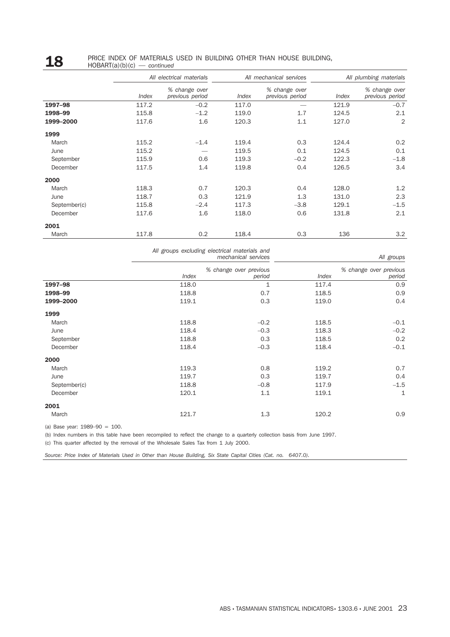### **18** PRICE INDEX OF MATERIALS USED IN BUILDING OTHER THAN HOUSE BUILDING,  $\frac{18}{100}$ HOBART(a)(b)(c) — *continued*

|              |       | All electrical materials         |       | All mechanical services          | All plumbing materials |                                  |  |
|--------------|-------|----------------------------------|-------|----------------------------------|------------------------|----------------------------------|--|
|              | Index | % change over<br>previous period | Index | % change over<br>previous period | Index                  | % change over<br>previous period |  |
| 1997-98      | 117.2 | $-0.2$                           | 117.0 |                                  | 121.9                  | $-0.7$                           |  |
| 1998-99      | 115.8 | $-1.2$                           | 119.0 | 1.7                              | 124.5                  | 2.1                              |  |
| 1999-2000    | 117.6 | 1.6                              | 120.3 | 1.1                              | 127.0                  | $\overline{2}$                   |  |
| 1999         |       |                                  |       |                                  |                        |                                  |  |
| March        | 115.2 | $-1.4$                           | 119.4 | 0.3                              | 124.4                  | 0.2                              |  |
| June         | 115.2 |                                  | 119.5 | 0.1                              | 124.5                  | 0.1                              |  |
| September    | 115.9 | 0.6                              | 119.3 | $-0.2$                           | 122.3                  | $-1.8$                           |  |
| December     | 117.5 | 1.4                              | 119.8 | 0.4                              | 126.5                  | 3.4                              |  |
| 2000         |       |                                  |       |                                  |                        |                                  |  |
| March        | 118.3 | 0.7                              | 120.3 | 0.4                              | 128.0                  | 1.2                              |  |
| June         | 118.7 | 0.3                              | 121.9 | 1.3                              | 131.0                  | 2.3                              |  |
| September(c) | 115.8 | $-2.4$                           | 117.3 | $-3.8$                           | 129.1                  | $-1.5$                           |  |
| December     | 117.6 | 1.6                              | 118.0 | 0.6                              | 131.8                  | 2.1                              |  |
| 2001         |       |                                  |       |                                  |                        |                                  |  |
| March        | 117.8 | 0.2                              | 118.4 | 0.3                              | 136                    | 3.2                              |  |

|              |       | All groups excluding electrical materials and<br>mechanical services |       | All groups                       |
|--------------|-------|----------------------------------------------------------------------|-------|----------------------------------|
|              | Index | % change over previous<br>period                                     | Index | % change over previous<br>period |
| 1997-98      | 118.0 | $\mathbf{1}$                                                         | 117.4 | 0.9                              |
| 1998-99      | 118.8 | 0.7                                                                  | 118.5 | 0.9                              |
| 1999-2000    | 119.1 | 0.3                                                                  | 119.0 | 0.4                              |
| 1999         |       |                                                                      |       |                                  |
| March        | 118.8 | $-0.2$                                                               | 118.5 | $-0.1$                           |
| June         | 118.4 | $-0.3$                                                               | 118.3 | $-0.2$                           |
| September    | 118.8 | 0.3                                                                  | 118.5 | 0.2                              |
| December     | 118.4 | $-0.3$                                                               | 118.4 | $-0.1$                           |
| 2000         |       |                                                                      |       |                                  |
| March        | 119.3 | 0.8                                                                  | 119.2 | 0.7                              |
| June         | 119.7 | 0.3                                                                  | 119.7 | 0.4                              |
| September(c) | 118.8 | $-0.8$                                                               | 117.9 | $-1.5$                           |
| December     | 120.1 | 1.1                                                                  | 119.1 | 1                                |
| 2001         |       |                                                                      |       |                                  |
| March        | 121.7 | 1.3                                                                  | 120.2 | 0.9                              |

(a) Base year: 1989–90 = 100.

(b) Index numbers in this table have been recompiled to reflect the change to a quarterly collection basis from June 1997.

(c) This quarter affected by the removal of the Wholesale Sales Tax from 1 July 2000.

*Source: Price Index of Materials Used in Other than House Building, Six State Capital Cities (Cat. no. 6407.0).*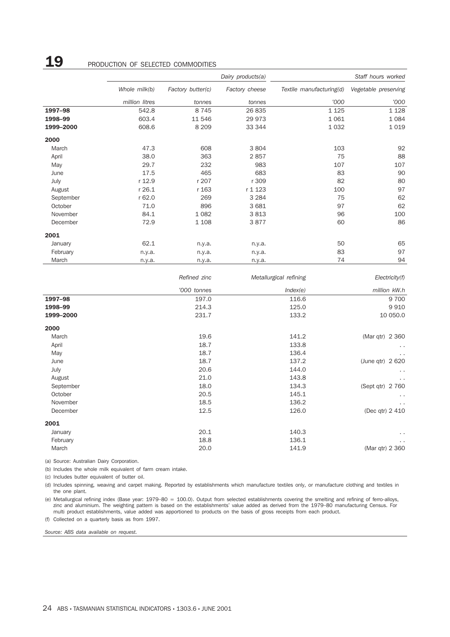## **19** PRODUCTION OF SELECTED COMMODITIES

|           |                |                   | Dairy products(a) | Staff hours worked       |                      |  |
|-----------|----------------|-------------------|-------------------|--------------------------|----------------------|--|
|           | Whole milk(b)  | Factory butter(c) | Factory cheese    | Textile manufacturing(d) | Vegetable preserving |  |
|           | million litres | tonnes            | tonnes            | '000                     | '000                 |  |
| 1997-98   | 542.8          | 8 7 4 5           | 26 835            | 1 1 2 5                  | 1 1 2 8              |  |
| 1998-99   | 603.4          | 11 546            | 29 973            | 1 0 6 1                  | 1084                 |  |
| 1999-2000 | 608.6          | 8 2 0 9           | 33 344            | 1 0 3 2                  | 1019                 |  |
| 2000      |                |                   |                   |                          |                      |  |
| March     | 47.3           | 608               | 3804              | 103                      | 92                   |  |
| April     | 38.0           | 363               | 2857              | 75                       | 88                   |  |
| May       | 29.7           | 232               | 983               | 107                      | 107                  |  |
| June      | 17.5           | 465               | 683               | 83                       | 90                   |  |
| July      | r 12.9         | r 207             | r 309             | 82                       | 80                   |  |
| August    | r 26.1         | r 163             | r 1 1 2 3         | 100                      | 97                   |  |
| September | r 62.0         | 269               | 3 2 8 4           | 75                       | 62                   |  |
| October   | 71.0           | 896               | 3 6 8 1           | 97                       | 62                   |  |
| November  | 84.1           | 1 0 8 2           | 3813              | 96                       | 100                  |  |
| December  | 72.9           | 1 1 0 8           | 3877              | 60                       | 86                   |  |
| 2001      |                |                   |                   |                          |                      |  |
| January   | 62.1           | n.y.a.            | n.y.a.            | 50                       | 65                   |  |
| February  | n.y.a.         | n.y.a.            | n.y.a.            | 83                       | 97                   |  |
| March     | n.y.a.         | n.y.a.            | n.y.a.            | 74                       | 94                   |  |
|           |                | Refined zinc      |                   | Metallurgical refining   | Electricity(f)       |  |

|           | '000 tonnes | Index(e) | million kW.h     |  |
|-----------|-------------|----------|------------------|--|
| 1997-98   | 197.0       | 116.6    | 9 700            |  |
| 1998-99   | 214.3       | 125.0    | 9910             |  |
| 1999-2000 | 231.7       | 133.2    | 10 050.0         |  |
| 2000      |             |          |                  |  |
| March     | 19.6        | 141.2    | (Mar qtr) 2 360  |  |
| April     | 18.7        | 133.8    | $\cdots$         |  |
| May       | 18.7        | 136.4    | $\cdots$         |  |
| June      | 18.7        | 137.2    | (June qtr) 2 620 |  |
| July      | 20.6        | 144.0    | $\cdots$         |  |
| August    | 21.0        | 143.8    | $\sim$           |  |
| September | 18.0        | 134.3    | (Sept qtr) 2 760 |  |
| October   | 20.5        | 145.1    | $\cdots$         |  |
| November  | 18.5        | 136.2    | $\ddotsc$        |  |
| December  | 12.5        | 126.0    | (Dec qtr) 2 410  |  |
| 2001      |             |          |                  |  |
| January   | 20.1        | 140.3    | $\sim$ $\sim$    |  |
| February  | 18.8        | 136.1    | $\cdots$         |  |
| March     | 20.0        | 141.9    | (Mar qtr) 2 360  |  |
|           |             |          |                  |  |

(a) Source: Australian Dairy Corporation.

(b) Includes the whole milk equivalent of farm cream intake.

(c) Includes butter equivalent of butter oil.

(d) Includes spinning, weaving and carpet making. Reported by establishments which manufacture textiles only, or manufacture clothing and textiles in the one plant.

(e) Metallurgical refining index (Base year: 1979–80 = 100.0). Output from selected establishments covering the smelting and refining of ferro-alloys, zinc and aluminium. The weighting pattern is based on the establishments' value added as derived from the 1979–80 manufacturing Census. For multi product establishments, value added was apportioned to products on the basis of gross receipts from each product.

(f) Collected on a quarterly basis as from 1997.

*Source: ABS data available on request.*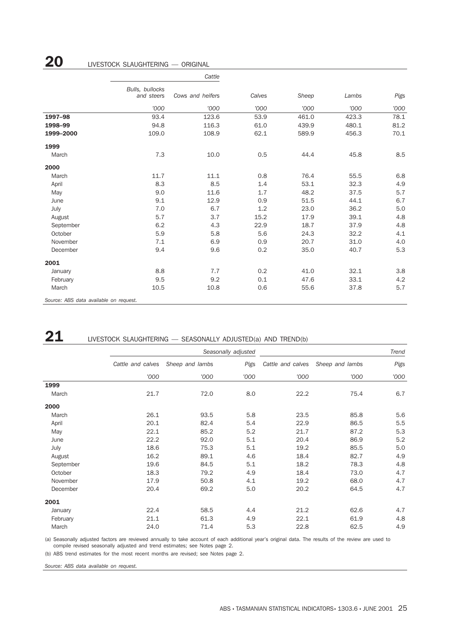### *Cattle Bulls, bullocks and steers '000 Cows and heifers '000 Calves '000 Sheep '000 Lambs '000 Pigs '000* **1997–98** 93.4 123.6 53.9 461.0 423.3 78.1 1998–99 94.8 116.3 61.0 439.9 480.1 81.2 **1999–2000** 109.0 109.0 108.9 62.1 589.9 456.3 70.1 1999 March 6.5 10.0 0.5 44.4 45.8 8.5 2000 March 11.7 11.1 0.8 76.4 55.5 6.8 April 8.3 8.3 8.5 1.4 53.1 32.3 4.9 May 9.0 11.6 1.7 48.2 37.5 5.7 June 9.1 12.9 0.9 51.5 44.1 6.7 July 7.0 6.7 1.2 23.0 36.2 5.0 August 5.7 3.7 15.2 17.9 39.1 4.8 September 6.2 4.3 22.9 18.7 37.9 4.8 October 5.9 5.8 5.6 24.3 32.2 4.1 November 7.1 6.9 0.9 20.7 31.0 4.0 December 9.4 9.6 0.2 35.0 40.7 5.3 2001 January 8.8 7.7 0.2 41.0 32.1 3.8 February 9.5 9.2 0.1 47.6 33.1 4.2 March 10.5 10.8 0.6 55.6 37.8 5.7

*Source: ABS data available on request.*

### 21 LIVESTOCK SLAUGHTERING — SEASONALLY ADJUSTED(a) AND TREND(b)

|           |                   |                 | Seasonally adjusted | Trend             |                 |      |  |
|-----------|-------------------|-----------------|---------------------|-------------------|-----------------|------|--|
|           | Cattle and calves | Sheep and lambs | Pigs                | Cattle and calves | Sheep and lambs | Pigs |  |
|           | '000              | '000            | '000                | '000              | '000            | '000 |  |
| 1999      |                   |                 |                     |                   |                 |      |  |
| March     | 21.7              | 72.0            | 8.0                 | 22.2              | 75.4            | 6.7  |  |
| 2000      |                   |                 |                     |                   |                 |      |  |
| March     | 26.1              | 93.5            | 5.8                 | 23.5              | 85.8            | 5.6  |  |
| April     | 20.1              | 82.4            | 5.4                 | 22.9              | 86.5            | 5.5  |  |
| May       | 22.1              | 85.2            | 5.2                 | 21.7              | 87.2            | 5.3  |  |
| June      | 22.2              | 92.0            | 5.1                 | 20.4              | 86.9            | 5.2  |  |
| July      | 18.6              | 75.3            | 5.1                 | 19.2              | 85.5            | 5.0  |  |
| August    | 16.2              | 89.1            | 4.6                 | 18.4              | 82.7            | 4.9  |  |
| September | 19.6              | 84.5            | 5.1                 | 18.2              | 78.3            | 4.8  |  |
| October   | 18.3              | 79.2            | 4.9                 | 18.4              | 73.0            | 4.7  |  |
| November  | 17.9              | 50.8            | 4.1                 | 19.2              | 68.0            | 4.7  |  |
| December  | 20.4              | 69.2            | 5.0                 | 20.2              | 64.5            | 4.7  |  |
| 2001      |                   |                 |                     |                   |                 |      |  |
| January   | 22.4              | 58.5            | 4.4                 | 21.2              | 62.6            | 4.7  |  |
| February  | 21.1              | 61.3            | 4.9                 | 22.1              | 61.9            | 4.8  |  |
| March     | 24.0              | 71.4            | 5.3                 | 22.8              | 62.5            | 4.9  |  |

(a) Seasonally adjusted factors are reviewed annually to take account of each additional year's original data. The results of the review are used to compile revised seasonally adjusted and trend estimates; see Notes page 2.

(b) ABS trend estimates for the most recent months are revised; see Notes page 2.

*Source: ABS data available on request.*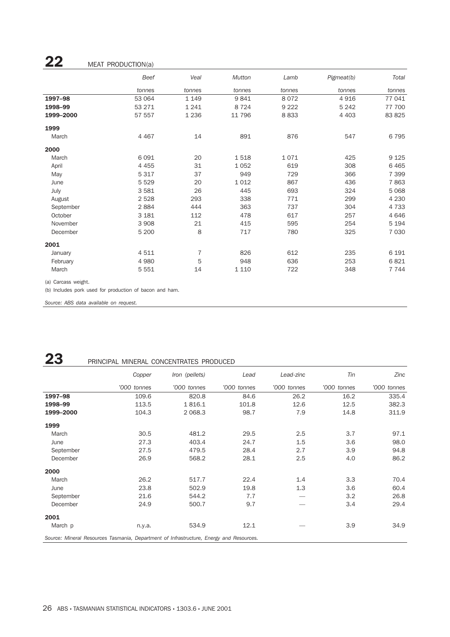## $22$  MEAT PRODUCTION(a)

|           | Beef    | Veal           | Mutton  | Lamb    | Pigmeat(b) | Total   |
|-----------|---------|----------------|---------|---------|------------|---------|
|           | tonnes  | tonnes         | tonnes  | tonnes  | tonnes     | tonnes  |
| 1997-98   | 53 064  | 1 1 4 9        | 9841    | 8072    | 4 9 1 6    | 77 041  |
| 1998-99   | 53 271  | 1 2 4 1        | 8 7 2 4 | 9 2 2 2 | 5 2 4 2    | 77 700  |
| 1999-2000 | 57 557  | 1 2 3 6        | 11 796  | 8833    | 4 4 0 3    | 83 825  |
| 1999      |         |                |         |         |            |         |
| March     | 4 4 6 7 | 14             | 891     | 876     | 547        | 6795    |
| 2000      |         |                |         |         |            |         |
| March     | 6 0 9 1 | 20             | 1518    | 1071    | 425        | 9 1 2 5 |
| April     | 4 4 5 5 | 31             | 1052    | 619     | 308        | 6465    |
| May       | 5 3 1 7 | 37             | 949     | 729     | 366        | 7 3 9 9 |
| June      | 5 5 2 9 | 20             | 1012    | 867     | 436        | 7863    |
| July      | 3581    | 26             | 445     | 693     | 324        | 5 0 6 8 |
| August    | 2528    | 293            | 338     | 771     | 299        | 4 2 3 0 |
| September | 2884    | 444            | 363     | 737     | 304        | 4 7 3 3 |
| October   | 3 1 8 1 | 112            | 478     | 617     | 257        | 4646    |
| November  | 3 9 0 8 | 21             | 415     | 595     | 254        | 5 1 9 4 |
| December  | 5 2 0 0 | 8              | 717     | 780     | 325        | 7 0 3 0 |
| 2001      |         |                |         |         |            |         |
| January   | 4511    | $\overline{7}$ | 826     | 612     | 235        | 6 1 9 1 |
| February  | 4 9 8 0 | 5              | 948     | 636     | 253        | 6821    |
| March     | 5 5 5 1 | 14             | 1 1 1 0 | 722     | 348        | 7 7 4 4 |

(a) Carcass weight.

(b) Includes pork used for production of bacon and ham.

*Source: ABS data available on request.*

## 23 PRINCIPAL MINERAL CONCENTRATES PRODUCED

|           | Copper                                                                                  | Iron (pellets) | Lead        | Lead-zinc   | Tin         | Zinc        |  |  |  |  |
|-----------|-----------------------------------------------------------------------------------------|----------------|-------------|-------------|-------------|-------------|--|--|--|--|
|           | '000 tonnes                                                                             | '000 tonnes    | '000 tonnes | '000 tonnes | '000 tonnes | '000 tonnes |  |  |  |  |
| 1997-98   | 109.6                                                                                   | 820.8          | 84.6        | 26.2        | 16.2        | 335.4       |  |  |  |  |
| 1998-99   | 113.5                                                                                   | 1816.1         | 101.8       | 12.6        | 12.5        | 382.3       |  |  |  |  |
| 1999-2000 | 104.3                                                                                   | 2 0 68.3       | 98.7        | 7.9         | 14.8        | 311.9       |  |  |  |  |
| 1999      |                                                                                         |                |             |             |             |             |  |  |  |  |
| March     | 30.5                                                                                    | 481.2          | 29.5        | 2.5         | 3.7         | 97.1        |  |  |  |  |
| June      | 27.3                                                                                    | 403.4          | 24.7        | 1.5         | 3.6         | 98.0        |  |  |  |  |
| September | 27.5                                                                                    | 479.5          | 28.4        | 2.7         | 3.9         | 94.8        |  |  |  |  |
| December  | 26.9                                                                                    | 568.2          | 28.1        | 2.5         | 4.0         | 86.2        |  |  |  |  |
| 2000      |                                                                                         |                |             |             |             |             |  |  |  |  |
| March     | 26.2                                                                                    | 517.7          | 22.4        | 1.4         | 3.3         | 70.4        |  |  |  |  |
| June      | 23.8                                                                                    | 502.9          | 19.8        | 1.3         | 3.6         | 60.4        |  |  |  |  |
| September | 21.6                                                                                    | 544.2          | 7.7         |             | 3.2         | 26.8        |  |  |  |  |
| December  | 24.9                                                                                    | 500.7          | 9.7         |             | 3.4         | 29.4        |  |  |  |  |
| 2001      |                                                                                         |                |             |             |             |             |  |  |  |  |
| March p   | n.y.a.                                                                                  | 534.9          | 12.1        |             | 3.9         | 34.9        |  |  |  |  |
|           | Source: Mineral Resources Tasmania, Department of Infrastructure, Energy and Resources. |                |             |             |             |             |  |  |  |  |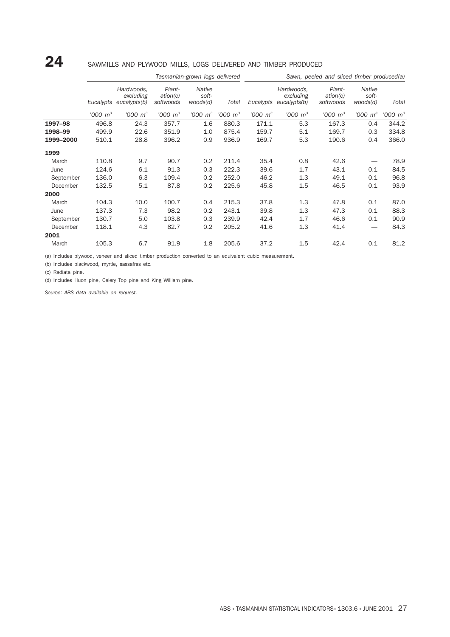### 24 SAWMILLS AND PLYWOOD MILLS, LOGS DELIVERED AND TIMBER PRODUCED

|           | Tasmanian-grown logs delivered |                                         |                                 |                             | Sawn, peeled and sliced timber produced(a) |                        |                                         |                                 |                               |               |
|-----------|--------------------------------|-----------------------------------------|---------------------------------|-----------------------------|--------------------------------------------|------------------------|-----------------------------------------|---------------------------------|-------------------------------|---------------|
|           | Eucalypts                      | Hardwoods,<br>excluding<br>eucalypts(b) | Plant-<br>ation(c)<br>softwoods | Native<br>soft-<br>woods(d) | Total                                      | Eucalypts              | Hardwoods,<br>excluding<br>eucalypts(b) | Plant-<br>ation(c)<br>softwoods | Native<br>soft-<br>woods(d)   | Total         |
|           | $1000 \; \mathrm{m}^3$         | $1000 \, m^3$                           | $1000 \; \mathrm{m}^3$          | $1000 \; \text{m}^3$        | $1000 \, m^3$                              | $1000 \; \mathrm{m}^3$ | $1000 \, m^3$                           | $1000 \; \mathrm{m}^3$          | $1000 \; \mathrm{m}^3$        | $1000 \, m^3$ |
| 1997-98   | 496.8                          | 24.3                                    | 357.7                           | 1.6                         | 880.3                                      | 171.1                  | 5.3                                     | 167.3                           | 0.4                           | 344.2         |
| 1998-99   | 499.9                          | 22.6                                    | 351.9                           | 1.0                         | 875.4                                      | 159.7                  | 5.1                                     | 169.7                           | 0.3                           | 334.8         |
| 1999-2000 | 510.1                          | 28.8                                    | 396.2                           | 0.9                         | 936.9                                      | 169.7                  | 5.3                                     | 190.6                           | 0.4                           | 366.0         |
| 1999      |                                |                                         |                                 |                             |                                            |                        |                                         |                                 |                               |               |
| March     | 110.8                          | 9.7                                     | 90.7                            | 0.2                         | 211.4                                      | 35.4                   | 0.8                                     | 42.6                            |                               | 78.9          |
| June      | 124.6                          | 6.1                                     | 91.3                            | 0.3                         | 222.3                                      | 39.6                   | 1.7                                     | 43.1                            | 0.1                           | 84.5          |
| September | 136.0                          | 6.3                                     | 109.4                           | 0.2                         | 252.0                                      | 46.2                   | 1.3                                     | 49.1                            | 0.1                           | 96.8          |
| December  | 132.5                          | 5.1                                     | 87.8                            | 0.2                         | 225.6                                      | 45.8                   | 1.5                                     | 46.5                            | 0.1                           | 93.9          |
| 2000      |                                |                                         |                                 |                             |                                            |                        |                                         |                                 |                               |               |
| March     | 104.3                          | 10.0                                    | 100.7                           | 0.4                         | 215.3                                      | 37.8                   | 1.3                                     | 47.8                            | 0.1                           | 87.0          |
| June      | 137.3                          | 7.3                                     | 98.2                            | 0.2                         | 243.1                                      | 39.8                   | 1.3                                     | 47.3                            | 0.1                           | 88.3          |
| September | 130.7                          | 5.0                                     | 103.8                           | 0.3                         | 239.9                                      | 42.4                   | 1.7                                     | 46.6                            | 0.1                           | 90.9          |
| December  | 118.1                          | 4.3                                     | 82.7                            | 0.2                         | 205.2                                      | 41.6                   | 1.3                                     | 41.4                            | $\overbrace{\phantom{12332}}$ | 84.3          |
| 2001      |                                |                                         |                                 |                             |                                            |                        |                                         |                                 |                               |               |
| March     | 105.3                          | 6.7                                     | 91.9                            | 1.8                         | 205.6                                      | 37.2                   | 1.5                                     | 42.4                            | 0.1                           | 81.2          |

(a) Includes plywood, veneer and sliced timber production converted to an equivalent cubic measurement.

(b) Includes blackwood, myrtle, sassafras etc.

(c) Radiata pine.

(d) Includes Huon pine, Celery Top pine and King William pine.

*Source: ABS data available on request.*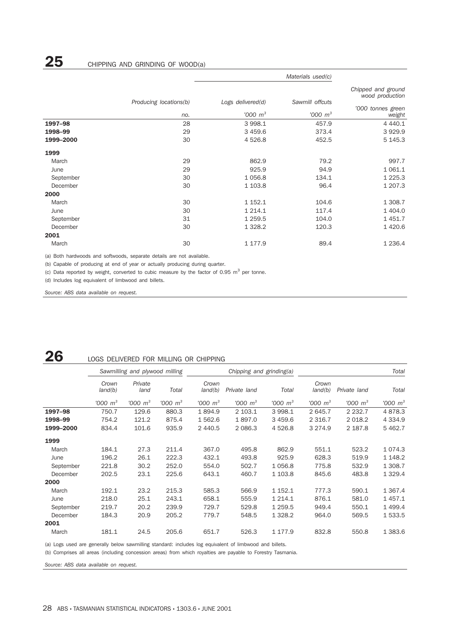|           | Producing locations(b) | Logs delivered(d)      | Sawmill offcuts | Chipped and ground<br>wood production |  |
|-----------|------------------------|------------------------|-----------------|---------------------------------------|--|
|           | no.                    | $1000 \; \mathrm{m}^3$ | $'000 \; m^3$   | '000 tonnes green<br>weight           |  |
| 1997-98   | 28                     | 3 9 9 8.1              | 457.9           | 4 4 4 0.1                             |  |
| 1998-99   | 29                     | 3 4 5 9.6              | 373.4           | 3929.9                                |  |
| 1999-2000 | 30                     | 4 5 2 6.8              | 452.5           | 5 145.3                               |  |
| 1999      |                        |                        |                 |                                       |  |
| March     | 29                     | 862.9                  | 79.2            | 997.7                                 |  |
| June      | 29                     | 925.9                  | 94.9            | 1 0 6 1.1                             |  |
| September | 30                     | 1 0 5 6.8              | 134.1           | 1 2 2 5 . 3                           |  |
| December  | 30                     | 1 1 0 3.8              | 96.4            | 1 207.3                               |  |
| 2000      |                        |                        |                 |                                       |  |
| March     | 30                     | 1 1 5 2 . 1            | 104.6           | 1 308.7                               |  |
| June      | 30                     | 1 2 1 4 . 1            | 117.4           | 1 404.0                               |  |
| September | 31                     | 1 2 5 9.5              | 104.0           | 1 4 5 1.7                             |  |
| December  | 30                     | 1 3 28.2               | 120.3           | 1 4 2 0.6                             |  |
| 2001      |                        |                        |                 |                                       |  |
| March     | 30                     | 1 177.9                | 89.4            | 1 2 3 6.4                             |  |

(a) Both hardwoods and softwoods, separate details are not available.

(b) Capable of producing at end of year or actually producing during quarter.

(c) Data reported by weight, converted to cubic measure by the factor of 0.95  $m^3$  per tonne.

(d) Includes log equivalent of limbwood and billets.

*Source: ABS data available on request.*

### 26 LOGS DELIVERED FOR MILLING OR CHIPPING

|           | Sawmilling and plywood milling |                        |               |                      | Chipping and grinding(a) |                      | Total            |               |               |
|-----------|--------------------------------|------------------------|---------------|----------------------|--------------------------|----------------------|------------------|---------------|---------------|
|           | Crown<br>land(b)               | Private<br>land        | Total         | Crown<br>land(b)     | Private land             | Total                | Crown<br>land(b) | Private land  | Total         |
|           | $1000 \, m^3$                  | $1000 \; \mathrm{m}^3$ | $1000 \, m^3$ | $1000 \; \text{m}^3$ | $1000 \, \text{m}^3$     | $1000 \, \text{m}^3$ | $1000 \, m^3$    | $'000 \, m^3$ | $'000 \; m^3$ |
| 1997-98   | 750.7                          | 129.6                  | 880.3         | 1894.9               | 2 103.1                  | 3 998.1              | 2 645.7          | 2 2 3 2.7     | 4878.3        |
| 1998-99   | 754.2                          | 121.2                  | 875.4         | 1 562.6              | 1897.0                   | 3459.6               | 2 3 1 6.7        | 2 0 18.2      | 4 3 3 4 .9    |
| 1999-2000 | 834.4                          | 101.6                  | 935.9         | 2 440.5              | 2 0 8 6.3                | 4 5 2 6.8            | 3 2 7 4 .9       | 2 187.8       | 5 462.7       |
| 1999      |                                |                        |               |                      |                          |                      |                  |               |               |
| March     | 184.1                          | 27.3                   | 211.4         | 367.0                | 495.8                    | 862.9                | 551.1            | 523.2         | 1 0 7 4 . 3   |
| June      | 196.2                          | 26.1                   | 222.3         | 432.1                | 493.8                    | 925.9                | 628.3            | 519.9         | 1 1 48.2      |
| September | 221.8                          | 30.2                   | 252.0         | 554.0                | 502.7                    | 1 0 5 6.8            | 775.8            | 532.9         | 1 308.7       |
| December  | 202.5                          | 23.1                   | 225.6         | 643.1                | 460.7                    | 1 103.8              | 845.6            | 483.8         | 1 3 2 9.4     |
| 2000      |                                |                        |               |                      |                          |                      |                  |               |               |
| March     | 192.1                          | 23.2                   | 215.3         | 585.3                | 566.9                    | 1 152.1              | 777.3            | 590.1         | 1 3 6 7 . 4   |
| June      | 218.0                          | 25.1                   | 243.1         | 658.1                | 555.9                    | 1 2 1 4 . 1          | 876.1            | 581.0         | 1 4 5 7 . 1   |
| September | 219.7                          | 20.2                   | 239.9         | 729.7                | 529.8                    | 1 2 5 9.5            | 949.4            | 550.1         | 1 499.4       |
| December  | 184.3                          | 20.9                   | 205.2         | 779.7                | 548.5                    | 1 3 28.2             | 964.0            | 569.5         | 1 533.5       |
| 2001      |                                |                        |               |                      |                          |                      |                  |               |               |
| March     | 181.1                          | 24.5                   | 205.6         | 651.7                | 526.3                    | 1 177.9              | 832.8            | 550.8         | 1 383.6       |

(a) Logs used are generally below sawmilling standard: includes log equivalent of limbwood and billets.

(b) Comprises all areas (including concession areas) from which royalties are payable to Forestry Tasmania.

*Source: ABS data available on request.*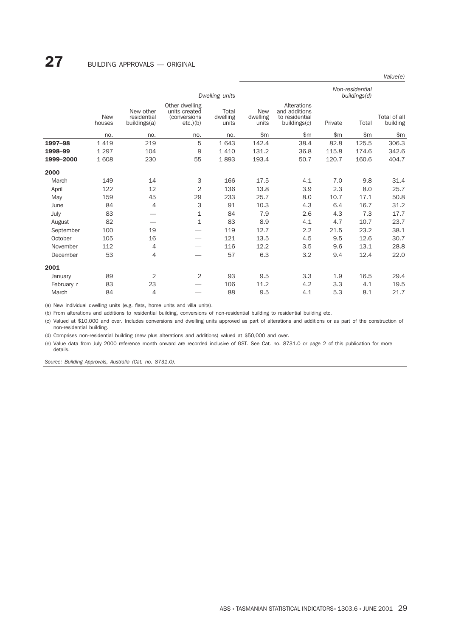|            |                      |                                          |                                                                |                            |                                 |                                                                |         |                                 | Value(e)                 |
|------------|----------------------|------------------------------------------|----------------------------------------------------------------|----------------------------|---------------------------------|----------------------------------------------------------------|---------|---------------------------------|--------------------------|
|            |                      |                                          |                                                                | Dwelling units             |                                 |                                                                |         | Non-residential<br>buildings(d) |                          |
|            | <b>New</b><br>houses | New other<br>residential<br>buildings(a) | Other dwelling<br>units created<br>(conversions<br>$etc.$ )(b) | Total<br>dwelling<br>units | <b>New</b><br>dwelling<br>units | Alterations<br>and additions<br>to residential<br>buildings(c) | Private | Total                           | Total of all<br>building |
|            | no.                  | no.                                      | no.                                                            | no.                        | \$m                             | \$m\$                                                          | \$m\$   | \$m\$                           | \$m\$                    |
| 1997-98    | 1419                 | 219                                      | 5                                                              | 1 6 4 3                    | 142.4                           | 38.4                                                           | 82.8    | 125.5                           | 306.3                    |
| 1998-99    | 1 2 9 7              | 104                                      | 9                                                              | 1410                       | 131.2                           | 36.8                                                           | 115.8   | 174.6                           | 342.6                    |
| 1999-2000  | 1 608                | 230                                      | 55                                                             | 1893                       | 193.4                           | 50.7                                                           | 120.7   | 160.6                           | 404.7                    |
| 2000       |                      |                                          |                                                                |                            |                                 |                                                                |         |                                 |                          |
| March      | 149                  | 14                                       | 3                                                              | 166                        | 17.5                            | 4.1                                                            | 7.0     | 9.8                             | 31.4                     |
| April      | 122                  | 12                                       | $\overline{2}$                                                 | 136                        | 13.8                            | 3.9                                                            | 2.3     | 8.0                             | 25.7                     |
| May        | 159                  | 45                                       | 29                                                             | 233                        | 25.7                            | 8.0                                                            | 10.7    | 17.1                            | 50.8                     |
| June       | 84                   | 4                                        | 3                                                              | 91                         | 10.3                            | 4.3                                                            | 6.4     | 16.7                            | 31.2                     |
| July       | 83                   |                                          | 1                                                              | 84                         | 7.9                             | 2.6                                                            | 4.3     | 7.3                             | 17.7                     |
| August     | 82                   |                                          | $\mathbf 1$                                                    | 83                         | 8.9                             | 4.1                                                            | 4.7     | 10.7                            | 23.7                     |
| September  | 100                  | 19                                       |                                                                | 119                        | 12.7                            | 2.2                                                            | 21.5    | 23.2                            | 38.1                     |
| October    | 105                  | 16                                       |                                                                | 121                        | 13.5                            | 4.5                                                            | 9.5     | 12.6                            | 30.7                     |
| November   | 112                  | 4                                        |                                                                | 116                        | 12.2                            | 3.5                                                            | 9.6     | 13.1                            | 28.8                     |
| December   | 53                   | 4                                        |                                                                | 57                         | 6.3                             | 3.2                                                            | 9.4     | 12.4                            | 22.0                     |
| 2001       |                      |                                          |                                                                |                            |                                 |                                                                |         |                                 |                          |
| January    | 89                   | 2                                        | $\overline{2}$                                                 | 93                         | 9.5                             | 3.3                                                            | 1.9     | 16.5                            | 29.4                     |
| February r | 83                   | 23                                       |                                                                | 106                        | 11.2                            | 4.2                                                            | 3.3     | 4.1                             | 19.5                     |
| March      | 84                   | 4                                        |                                                                | 88                         | 9.5                             | 4.1                                                            | 5.3     | 8.1                             | 21.7                     |

(a) New individual dwelling units (e.g. flats, home units and villa units).

(b) From alterations and additions to residential building, conversions of non-residential building to residential building etc.

(c) Valued at \$10,000 and over. Includes conversions and dwelling units approved as part of alterations and additions or as part of the construction of non-residential building.

(d) Comprises non-residential building (new plus alterations and additions) valued at \$50,000 and over.

(e) Value data from July 2000 reference month onward are recorded inclusive of GST. See Cat. no. 8731.0 or page 2 of this publication for more details.

*Source: Building Approvals, Australia (Cat. no. 8731.0).*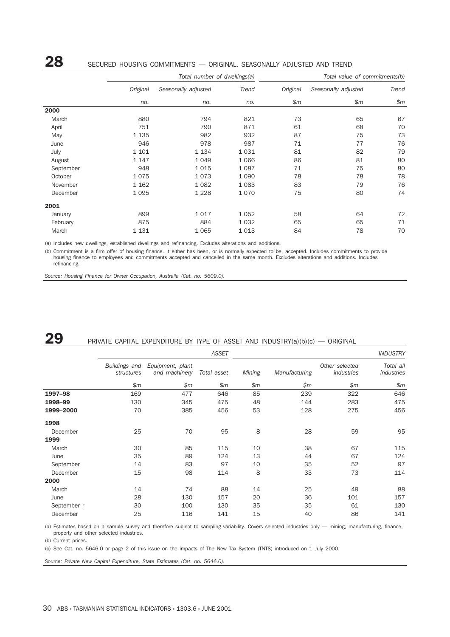### 28 SECURED HOUSING COMMITMENTS — ORIGINAL, SEASONALLY ADJUSTED AND TREND

|           |          | Total number of dwellings(a) |         | Total value of commitments(b) |                     |       |  |  |
|-----------|----------|------------------------------|---------|-------------------------------|---------------------|-------|--|--|
|           | Original | Seasonally adjusted          | Trend   | Original                      | Seasonally adjusted | Trend |  |  |
|           | no.      | no.                          | no.     | \$m\$                         | \$m\$               | \$m\$ |  |  |
| 2000      |          |                              |         |                               |                     |       |  |  |
| March     | 880      | 794                          | 821     | 73                            | 65                  | 67    |  |  |
| April     | 751      | 790                          | 871     | 61                            | 68                  | 70    |  |  |
| May       | 1 1 3 5  | 982                          | 932     | 87                            | 75                  | 73    |  |  |
| June      | 946      | 978                          | 987     | 71                            | 77                  | 76    |  |  |
| July      | 1 1 0 1  | 1 1 3 4                      | 1 0 3 1 | 81                            | 82                  | 79    |  |  |
| August    | 1 1 4 7  | 1 0 4 9                      | 1 0 6 6 | 86                            | 81                  | 80    |  |  |
| September | 948      | 1015                         | 1 0 8 7 | 71                            | 75                  | 80    |  |  |
| October   | 1075     | 1073                         | 1 0 9 0 | 78                            | 78                  | 78    |  |  |
| November  | 1 1 6 2  | 1 0 8 2                      | 1 0 8 3 | 83                            | 79                  | 76    |  |  |
| December  | 1 0 9 5  | 1 2 2 8                      | 1070    | 75                            | 80                  | 74    |  |  |
| 2001      |          |                              |         |                               |                     |       |  |  |
| January   | 899      | 1017                         | 1 0 5 2 | 58                            | 64                  | 72    |  |  |
| February  | 875      | 884                          | 1 0 3 2 | 65                            | 65                  | 71    |  |  |
| March     | 1 1 3 1  | 1 0 6 5                      | 1013    | 84                            | 78                  | 70    |  |  |

(a) Includes new dwellings, established dwellings and refinancing. Excludes alterations and additions.

(b) Commitment is a firm offer of housing finance. It either has been, or is normally expected to be, accepted. Includes commitments to provide housing finance to employees and commitments accepted and cancelled in the same month. Excludes alterations and additions. Includes refinancing.

*Source: Housing Finance for Owner Occupation, Australia (Cat. no. 5609.0).*

### **29** PRIVATE CAPITAL EXPENDITURE BY TYPE OF ASSET AND INDUSTRY(a)(b)(c)  $-$  ORIGINAL

|             |                             |                                   | <b>ASSET</b> | <b>INDUSTRY</b> |               |                              |                         |  |
|-------------|-----------------------------|-----------------------------------|--------------|-----------------|---------------|------------------------------|-------------------------|--|
|             | Buildings and<br>structures | Equipment, plant<br>and machinery | Total asset  | Mining          | Manufacturing | Other selected<br>industries | Total all<br>industries |  |
|             | \$m\$                       | \$m\$                             | \$m\$        | \$m\$           | \$m\$         | \$m\$                        | \$m                     |  |
| 1997-98     | 169                         | 477                               | 646          | 85              | 239           | 322                          | 646                     |  |
| 1998-99     | 130                         | 345                               | 475          | 48              | 144           | 283                          | 475                     |  |
| 1999-2000   | 70                          | 385                               | 456          | 53              | 128           | 275                          | 456                     |  |
| 1998        |                             |                                   |              |                 |               |                              |                         |  |
| December    | 25                          | 70                                | 95           | 8               | 28            | 59                           | 95                      |  |
| 1999        |                             |                                   |              |                 |               |                              |                         |  |
| March       | 30                          | 85                                | 115          | 10              | 38            | 67                           | 115                     |  |
| June        | 35                          | 89                                | 124          | 13              | 44            | 67                           | 124                     |  |
| September   | 14                          | 83                                | 97           | 10              | 35            | 52                           | 97                      |  |
| December    | 15                          | 98                                | 114          | 8               | 33            | 73                           | 114                     |  |
| 2000        |                             |                                   |              |                 |               |                              |                         |  |
| March       | 14                          | 74                                | 88           | 14              | 25            | 49                           | 88                      |  |
| June        | 28                          | 130                               | 157          | 20              | 36            | 101                          | 157                     |  |
| September r | 30                          | 100                               | 130          | 35              | 35            | 61                           | 130                     |  |
| December    | 25                          | 116                               | 141          | 15              | 40            | 86                           | 141                     |  |

(a) Estimates based on a sample survey and therefore subject to sampling variability. Covers selected industries only — mining, manufacturing, finance, property and other selected industries.

(b) Current prices.

(c) See Cat. no. 5646.0 or page 2 of this issue on the impacts of The New Tax System (TNTS) introduced on 1 July 2000.

*Source: Private New Capital Expenditure, State Estimates (Cat. no. 5646.0).*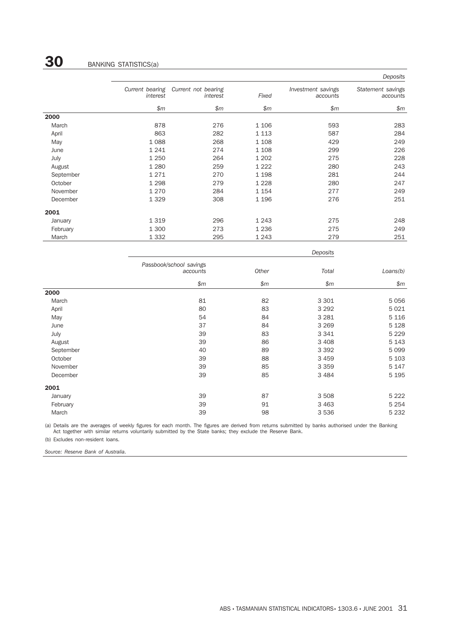|           |                             |                                 |         |                                | Deposits                      |
|-----------|-----------------------------|---------------------------------|---------|--------------------------------|-------------------------------|
|           | Current bearing<br>interest | Current not bearing<br>interest | Fixed   | Investment savings<br>accounts | Statement savings<br>accounts |
|           | \$m\$                       | \$m\$                           | \$m\$   | \$m\$                          | \$m\$                         |
| 2000      |                             |                                 |         |                                |                               |
| March     | 878                         | 276                             | 1 1 0 6 | 593                            | 283                           |
| April     | 863                         | 282                             | 1 1 1 3 | 587                            | 284                           |
| May       | 1088                        | 268                             | 1 1 0 8 | 429                            | 249                           |
| June      | 1241                        | 274                             | 1 1 0 8 | 299                            | 226                           |
| July      | 1 2 5 0                     | 264                             | 1 202   | 275                            | 228                           |
| August    | 1 2 8 0                     | 259                             | 1 2 2 2 | 280                            | 243                           |
| September | 1271                        | 270                             | 1 1 9 8 | 281                            | 244                           |
| October   | 1 2 9 8                     | 279                             | 1 2 2 8 | 280                            | 247                           |
| November  | 1 2 7 0                     | 284                             | 1 1 5 4 | 277                            | 249                           |
| December  | 1329                        | 308                             | 1 1 9 6 | 276                            | 251                           |
| 2001      |                             |                                 |         |                                |                               |
| January   | 1 3 1 9                     | 296                             | 1 2 4 3 | 275                            | 248                           |
| February  | 1 300                       | 273                             | 1 2 3 6 | 275                            | 249                           |
| March     | 1 3 3 2                     | 295                             | 1 2 4 3 | 279                            | 251                           |

|           |                                     |       | Deposits |          |
|-----------|-------------------------------------|-------|----------|----------|
|           | Passbook/school savings<br>accounts | Other | Total    | Loans(b) |
|           | \$m\$                               | \$m\$ | \$m\$    | \$m\$    |
| 2000      |                                     |       |          |          |
| March     | 81                                  | 82    | 3 3 0 1  | 5 0 5 6  |
| April     | 80                                  | 83    | 3 2 9 2  | 5 0 2 1  |
| May       | 54                                  | 84    | 3 2 8 1  | 5 1 1 6  |
| June      | 37                                  | 84    | 3 2 6 9  | 5 1 28   |
| July      | 39                                  | 83    | 3 3 4 1  | 5 2 2 9  |
| August    | 39                                  | 86    | 3 4 0 8  | 5 1 4 3  |
| September | 40                                  | 89    | 3 3 9 2  | 5 0 9 9  |
| October   | 39                                  | 88    | 3 4 5 9  | 5 1 0 3  |
| November  | 39                                  | 85    | 3 3 5 9  | 5 1 4 7  |
| December  | 39                                  | 85    | 3 4 8 4  | 5 1 9 5  |
| 2001      |                                     |       |          |          |
| January   | 39                                  | 87    | 3 5 0 8  | 5 2 2 2  |
| February  | 39                                  | 91    | 3 4 6 3  | 5 2 5 4  |
| March     | 39                                  | 98    | 3 5 3 6  | 5 2 3 2  |

(a) Details are the averages of weekly figures for each month. The figures are derived from returns submitted by banks authorised under the Banking Act together with similar returns voluntarily submitted by the State banks; they exclude the Reserve Bank.

(b) Excludes non-resident loans.

*Source: Reserve Bank of Australia.*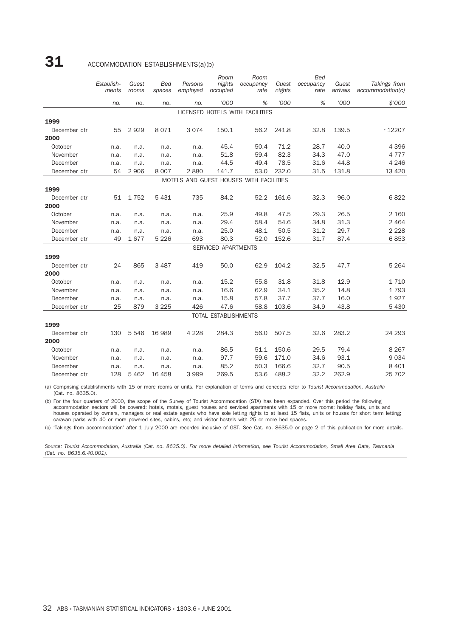### $31$  ACCOMMODATION ESTABLISHMENTS(a)(b)

|              | Establish-<br>ments | Guest<br>rooms | Bed<br>spaces | Persons<br>employed | Room<br>nights<br>occupied  | Room<br>occupancy<br>rate               | Guest<br>nights | <b>Bed</b><br>occupancy<br>rate | Guest<br>arrivals | Takings from<br>account notation(c) |
|--------------|---------------------|----------------|---------------|---------------------|-----------------------------|-----------------------------------------|-----------------|---------------------------------|-------------------|-------------------------------------|
|              | no.                 | no.            | no.           | no.                 | '000                        | %                                       | '000            | %                               | '000              | \$'000                              |
|              |                     |                |               |                     |                             | LICENSED HOTELS WITH FACILITIES         |                 |                                 |                   |                                     |
| 1999         |                     |                |               |                     |                             |                                         |                 |                                 |                   |                                     |
| December gtr | 55                  | 2929           | 8071          | 3074                | 150.1                       | 56.2                                    | 241.8           | 32.8                            | 139.5             | r 12207                             |
| 2000         |                     |                |               |                     |                             |                                         |                 |                                 |                   |                                     |
| October      | n.a.                | n.a.           | n.a.          | n.a.                | 45.4                        | 50.4                                    | 71.2            | 28.7                            | 40.0              | 4 3 9 6                             |
| November     | n.a.                | n.a.           | n.a.          | n.a.                | 51.8                        | 59.4                                    | 82.3            | 34.3                            | 47.0              | 4 7 7 7                             |
| December     | n.a.                | n.a.           | n.a.          | n.a.                | 44.5                        | 49.4                                    | 78.5            | 31.6                            | 44.8              | 4 2 4 6                             |
| December qtr | 54                  | 2 9 0 6        | 8 0 0 7       | 2880                | 141.7                       | 53.0                                    | 232.0           | 31.5                            | 131.8             | 13 4 20                             |
|              |                     |                |               |                     |                             | MOTELS AND GUEST HOUSES WITH FACILITIES |                 |                                 |                   |                                     |
| 1999         |                     |                |               |                     |                             |                                         |                 |                                 |                   |                                     |
| December qtr | 51                  | 1752           | 5 4 3 1       | 735                 | 84.2                        | 52.2                                    | 161.6           | 32.3                            | 96.0              | 6822                                |
| 2000         |                     |                |               |                     |                             |                                         |                 |                                 |                   |                                     |
| October      | n.a.                | n.a.           | n.a.          | n.a.                | 25.9                        | 49.8                                    | 47.5            | 29.3                            | 26.5              | 2 160                               |
| November     | n.a.                | n.a.           | n.a.          | n.a.                | 29.4                        | 58.4                                    | 54.6            | 34.8                            | 31.3              | 2 4 6 4                             |
| December     | n.a.                | n.a.           | n.a.          | n.a.                | 25.0                        | 48.1                                    | 50.5            | 31.2                            | 29.7              | 2 2 2 8                             |
| December qtr | 49                  | 1677           | 5 2 2 6       | 693                 | 80.3                        | 52.0                                    | 152.6           | 31.7                            | 87.4              | 6853                                |
|              |                     |                |               |                     | SERVICED APARTMENTS         |                                         |                 |                                 |                   |                                     |
| 1999         |                     |                |               |                     |                             |                                         |                 |                                 |                   |                                     |
| December gtr | 24                  | 865            | 3 4 8 7       | 419                 | 50.0                        | 62.9                                    | 104.2           | 32.5                            | 47.7              | 5 2 6 4                             |
| 2000         |                     |                |               |                     |                             |                                         |                 |                                 |                   |                                     |
| October      | n.a.                | n.a.           | n.a.          | n.a.                | 15.2                        | 55.8                                    | 31.8            | 31.8                            | 12.9              | 1 7 1 0                             |
| November     | n.a.                | n.a.           | n.a.          | n.a.                | 16.6                        | 62.9                                    | 34.1            | 35.2                            | 14.8              | 1793                                |
| December     | n.a.                | n.a.           | n.a.          | n.a.                | 15.8                        | 57.8                                    | 37.7            | 37.7                            | 16.0              | 1927                                |
| December gtr | 25                  | 879            | 3 2 2 5       | 426                 | 47.6                        | 58.8                                    | 103.6           | 34.9                            | 43.8              | 5 4 3 0                             |
|              |                     |                |               |                     | <b>TOTAL ESTABLISHMENTS</b> |                                         |                 |                                 |                   |                                     |
| 1999         |                     |                |               |                     |                             |                                         |                 |                                 |                   |                                     |
| December gtr | 130                 | 5 5 4 6        | 16 989        | 4 2 2 8             | 284.3                       | 56.0                                    | 507.5           | 32.6                            | 283.2             | 24 293                              |
| 2000         |                     |                |               |                     |                             |                                         |                 |                                 |                   |                                     |
| October      | n.a.                | n.a.           | n.a.          | n.a.                | 86.5                        | 51.1                                    | 150.6           | 29.5                            | 79.4              | 8 2 6 7                             |
| November     | n.a.                | n.a.           | n.a.          | n.a.                | 97.7                        | 59.6                                    | 171.0           | 34.6                            | 93.1              | 9034                                |
| December     | n.a.                | n.a.           | n.a.          | n.a.                | 85.2                        | 50.3                                    | 166.6           | 32.7                            | 90.5              | 8 4 0 1                             |
| December gtr | 128                 | 5 4 6 2        | 16 458        | 3999                | 269.5                       | 53.6                                    | 488.2           | 32.2                            | 262.9             | 25 702                              |

(a) Comprising establishments with 15 or more rooms or units. For explanation of terms and concepts refer to *Tourist Accommodation, Australia* (Cat. no. 8635.0).

(b) For the four quarters of 2000, the scope of the Survey of Tourist Accommodation (STA) has been expanded. Over this period the following accommodation sectors will be covered: hotels, motels, guest houses and serviced apartments with 15 or more rooms; holiday flats, units and houses operated by owners, managers or real estate agents who have sole letting rights to at least 15 flats, units or houses for short term letting; caravan parks with 40 or more powered sites, cabins, etc; and visitor hostels with 25 or more bed spaces.

(c) 'Takings from accommodation' after 1 July 2000 are recorded inclusive of GST. See Cat. no. 8635.0 or page 2 of this publication for more details.

*Source: Tourist Accommodation, Australia (Cat. no. 8635.0). For more detailed information, see Tourist Accommodation, Small Area Data, Tasmania (Cat. no. 8635.6.40.001).*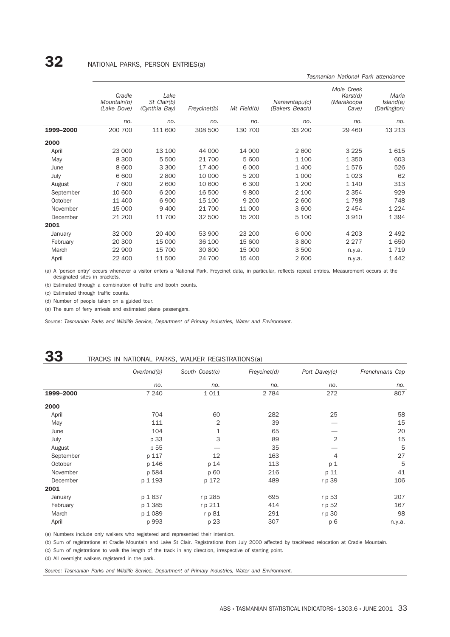|           |                                      |                                      |              |             |                                 | Tasmanian National Park attendance            |                                    |
|-----------|--------------------------------------|--------------------------------------|--------------|-------------|---------------------------------|-----------------------------------------------|------------------------------------|
|           | Cradle<br>Mountain(b)<br>(Lake Dove) | Lake<br>St Clair(b)<br>(Cynthia Bay) | Freycinet(b) | Mt Field(b) | Narawntapu(c)<br>(Bakers Beach) | Mole Creek<br>Karst(d)<br>(Marakoopa<br>Cave) | Maria<br>Island(e)<br>(Darlington) |
|           | no.                                  | no.                                  | no.          | no.         | no.                             | no.                                           | no.                                |
| 1999-2000 | 200 700                              | 111 600                              | 308 500      | 130 700     | 33 200                          | 29 4 60                                       | 13 213                             |
| 2000      |                                      |                                      |              |             |                                 |                                               |                                    |
| April     | 23 000                               | 13 100                               | 44 000       | 14 000      | 2 600                           | 3 2 2 5                                       | 1615                               |
| May       | 8 3 0 0                              | 5 500                                | 21 700       | 5 600       | 1 100                           | 1 3 5 0                                       | 603                                |
| June      | 8 600                                | 3 3 0 0                              | 17 400       | 6 0 0 0     | 1 400                           | 1576                                          | 526                                |
| July      | 6 600                                | 2800                                 | 10 000       | 5 200       | 1 0 0 0                         | 1 0 2 3                                       | 62                                 |
| August    | 7 600                                | 2 600                                | 10 600       | 6 3 0 0     | 1 200                           | 1 1 4 0                                       | 313                                |
| September | 10 600                               | 6 200                                | 16 500       | 9800        | 2 100                           | 2 3 5 4                                       | 929                                |
| October   | 11 400                               | 6 900                                | 15 100       | 9 2 0 0     | 2 600                           | 1798                                          | 748                                |
| November  | 15 000                               | 9 4 0 0                              | 21 700       | 11 000      | 3 600                           | 2 4 5 4                                       | 1 2 2 4                            |
| December  | 21 200                               | 11 700                               | 32 500       | 15 200      | 5 100                           | 3 9 1 0                                       | 1 3 9 4                            |
| 2001      |                                      |                                      |              |             |                                 |                                               |                                    |
| January   | 32 000                               | 20 400                               | 53 900       | 23 200      | 6 0 0 0                         | 4 2 0 3                                       | 2 4 9 2                            |
| February  | 20 300                               | 15 000                               | 36 100       | 15 600      | 3800                            | 2 2 7 7                                       | 1650                               |
| March     | 22 900                               | 15 700                               | 30 800       | 15 000      | 3 500                           | n.y.a.                                        | 1719                               |
| April     | 22 400                               | 11 500                               | 24 700       | 15 400      | 2 600                           | n.y.a.                                        | 1442                               |

(a) A 'person entry' occurs whenever a visitor enters a National Park. Freycinet data, in particular, reflects repeat entries. Measurement occurs at the designated sites in brackets.

(b) Estimated through a combination of traffic and booth counts.

(c) Estimated through traffic counts.

(d) Number of people taken on a guided tour.

(e) The sum of ferry arrivals and estimated plane passengers.

*Source: Tasmanian Parks and Wildlife Service, Department of Primary Industries, Water and Environment.*

### 33 TRACKS IN NATIONAL PARKS, WALKER REGISTRATIONS(a)

|           | Overland(b) | South Coast(c) | Freycinet(d) | Port Davey(c)  | Frenchmans Cap |
|-----------|-------------|----------------|--------------|----------------|----------------|
|           | no.         | no.            | no.          | no.            | no.            |
| 1999-2000 | 7 2 4 0     | 1011           | 2 7 8 4      | 272            | 807            |
| 2000      |             |                |              |                |                |
| April     | 704         | 60             | 282          | 25             | 58             |
| May       | 111         | 2              | 39           |                | 15             |
| June      | 104         | 1              | 65           |                | 20             |
| July      | p 33        | 3              | 89           | 2              | 15             |
| August    | p 55        |                | 35           |                | 5              |
| September | p 117       | 12             | 163          | 4              | 27             |
| October   | p 146       | p 14           | 113          | p <sub>1</sub> | 5              |
| November  | p 584       | p 60           | 216          | p 11           | 41             |
| December  | p 1 193     | p 172          | 489          | r p 39         | 106            |
| 2001      |             |                |              |                |                |
| January   | p 1637      | r p 285        | 695          | r p 53         | 207            |
| February  | p 1 385     | r p 211        | 414          | r p 52         | 167            |
| March     | p 1 089     | r p 81         | 291          | r p 30         | 98             |
| April     | p 993       | p 23           | 307          | p 6            | n.y.a.         |

(a) Numbers include only walkers who registered and represented their intention.

(b) Sum of registrations at Cradle Mountain and Lake St Clair. Registrations from July 2000 affected by trackhead relocation at Cradle Mountain.

(c) Sum of registrations to walk the length of the track in any direction, irrespective of starting point.

(d) All overnight walkers registered in the park.

*Source: Tasmanian Parks and Wildlife Service, Department of Primary Industries, Water and Environment.*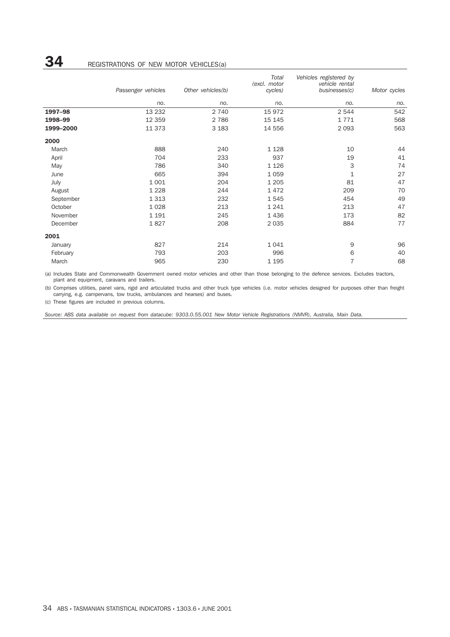## **34** REGISTRATIONS OF NEW MOTOR VEHICLES(a)

|           |                    |                   | Total                   | Vehicles registered by          |              |
|-----------|--------------------|-------------------|-------------------------|---------------------------------|--------------|
|           | Passenger vehicles | Other vehicles(b) | (excl. motor<br>cycles) | vehicle rental<br>businesses(c) | Motor cycles |
|           | no.                | no.               | no.                     | no.                             | no.          |
| 1997-98   | 13 2 32            | 2 740             | 15 972                  | 2 5 4 4                         | 542          |
| 1998-99   | 12 3 5 9           | 2 7 8 6           | 15 145                  | 1771                            | 568          |
| 1999-2000 | 11 373             | 3 1 8 3           | 14 556                  | 2 0 9 3                         | 563          |
| 2000      |                    |                   |                         |                                 |              |
| March     | 888                | 240               | 1 1 2 8                 | 10                              | 44           |
| April     | 704                | 233               | 937                     | 19                              | 41           |
| May       | 786                | 340               | 1 1 2 6                 | 3                               | 74           |
| June      | 665                | 394               | 1 0 5 9                 | 1                               | 27           |
| July      | 1 0 0 1            | 204               | 1 2 0 5                 | 81                              | 47           |
| August    | 1 2 2 8            | 244               | 1472                    | 209                             | 70           |
| September | 1 3 1 3            | 232               | 1545                    | 454                             | 49           |
| October   | 1 0 28             | 213               | 1 2 4 1                 | 213                             | 47           |
| November  | 1 1 9 1            | 245               | 1436                    | 173                             | 82           |
| December  | 1827               | 208               | 2 0 3 5                 | 884                             | 77           |
| 2001      |                    |                   |                         |                                 |              |
| January   | 827                | 214               | 1 0 4 1                 | 9                               | 96           |
| February  | 793                | 203               | 996                     | 6                               | 40           |
| March     | 965                | 230               | 1 1 9 5                 | 7                               | 68           |

(a) Includes State and Commonwealth Government owned motor vehicles and other than those belonging to the defence services. Excludes tractors, plant and equipment, caravans and trailers.

(b) Comprises utilities, panel vans, rigid and articulated trucks and other truck type vehicles (i.e. motor vehicles designed for purposes other than freight carrying, e.g. campervans, tow trucks, ambulances and hearses) and buses.

(c) These figures are included in previous columns.

*Source: ABS data available on request from datacube: 9303.0.55.001 New Motor Vehicle Registrations (NMVR), Australia, Main Data.*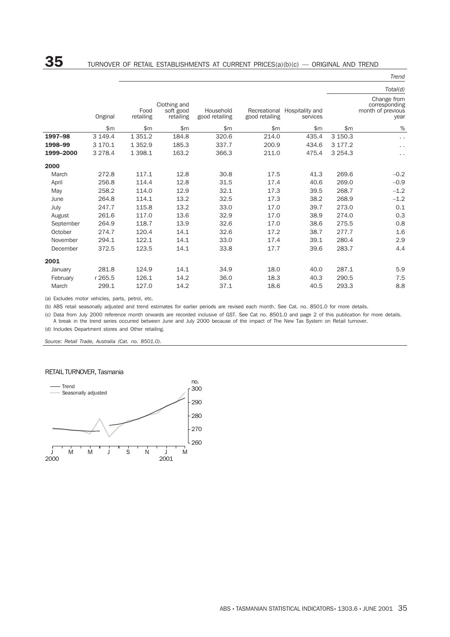## $\bf{35}$  TURNOVER OF RETAIL ESTABLISHMENTS AT CURRENT PRICES(a)(b)(c) — ORIGINAL AND TREND

*Trend*

|           |           |                   |                                        |                             |                |                                          |             | $11$ C $11$ U                                             |
|-----------|-----------|-------------------|----------------------------------------|-----------------------------|----------------|------------------------------------------|-------------|-----------------------------------------------------------|
|           |           |                   |                                        |                             |                |                                          |             | Total(d)                                                  |
|           | Original  | Food<br>retailing | Clothing and<br>soft good<br>retailing | Household<br>good retailing | good retailing | Recreational Hospitality and<br>services |             | Change from<br>corresponding<br>month of previous<br>year |
|           | \$m       | \$m               | \$m                                    | \$m\$                       | \$m            | \$m                                      | \$m\$       | %                                                         |
| 1997-98   | 3 149.4   | 1 3 5 1 . 2       | 184.8                                  | 320.6                       | 214.0          | 435.4                                    | 3 150.3     | $\ddot{\phantom{0}}$                                      |
| 1998-99   | 3 170.1   | 1 3 5 2.9         | 185.3                                  | 337.7                       | 200.9          | 434.6                                    | 3 177.2     | $\ddot{\phantom{0}}$                                      |
| 1999-2000 | 3 2 7 8.4 | 1 3 9 8.1         | 163.2                                  | 366.3                       | 211.0          | 475.4                                    | 3 2 5 4 . 3 | $\ddot{\phantom{0}}$                                      |
| 2000      |           |                   |                                        |                             |                |                                          |             |                                                           |
| March     | 272.8     | 117.1             | 12.8                                   | 30.8                        | 17.5           | 41.3                                     | 269.6       | $-0.2$                                                    |
| April     | 256.8     | 114.4             | 12.8                                   | 31.5                        | 17.4           | 40.6                                     | 269.0       | $-0.9$                                                    |
| May       | 258.2     | 114.0             | 12.9                                   | 32.1                        | 17.3           | 39.5                                     | 268.7       | $-1.2$                                                    |
| June      | 264.8     | 114.1             | 13.2                                   | 32.5                        | 17.3           | 38.2                                     | 268.9       | $-1.2$                                                    |
| July      | 247.7     | 115.8             | 13.2                                   | 33.0                        | 17.0           | 39.7                                     | 273.0       | 0.1                                                       |
| August    | 261.6     | 117.0             | 13.6                                   | 32.9                        | 17.0           | 38.9                                     | 274.0       | 0.3                                                       |
| September | 264.9     | 118.7             | 13.9                                   | 32.6                        | 17.0           | 38.6                                     | 275.5       | 0.8                                                       |
| October   | 274.7     | 120.4             | 14.1                                   | 32.6                        | 17.2           | 38.7                                     | 277.7       | 1.6                                                       |
| November  | 294.1     | 122.1             | 14.1                                   | 33.0                        | 17.4           | 39.1                                     | 280.4       | 2.9                                                       |
| December  | 372.5     | 123.5             | 14.1                                   | 33.8                        | 17.7           | 39.6                                     | 283.7       | 4.4                                                       |
| 2001      |           |                   |                                        |                             |                |                                          |             |                                                           |
| January   | 281.8     | 124.9             | 14.1                                   | 34.9                        | 18.0           | 40.0                                     | 287.1       | 5.9                                                       |
| February  | r 265.5   | 126.1             | 14.2                                   | 36.0                        | 18.3           | 40.3                                     | 290.5       | 7.5                                                       |
| March     | 299.1     | 127.0             | 14.2                                   | 37.1                        | 18.6           | 40.5                                     | 293.3       | 8.8                                                       |
|           |           |                   |                                        |                             |                |                                          |             |                                                           |

(a) Excludes motor vehicles, parts, petrol, etc.

(b) ABS retail seasonally adjusted and trend estimates for earlier periods are revised each month. See Cat. no. 8501.0 for more details.

(c) Data from July 2000 reference month onwards are recorded inclusive of GST. See Cat no. 8501.0 and page 2 of this publication for more details.

A break in the trend series occurred between June and July 2000 because of the impact of The New Tax System on Retail turnover.

(d) Includes Department stores and Other retailing.

*Source: Retail Trade, Australia (Cat. no. 8501.0).*

### RETAIL TURNOVER, Tasmania

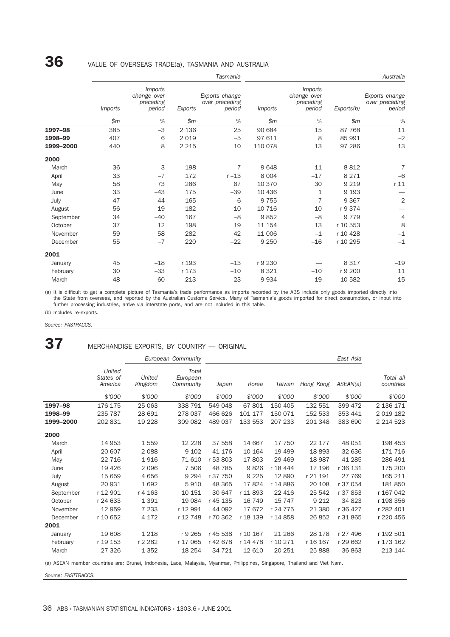## 36 VALUE OF OVERSEAS TRADE(a), TASMANIA AND AUSTRALIA

|           |                |                                                      |         | Tasmania                                   | Australia      |                                                      |            |                                            |  |
|-----------|----------------|------------------------------------------------------|---------|--------------------------------------------|----------------|------------------------------------------------------|------------|--------------------------------------------|--|
|           | <i>Imports</i> | <i>Imports</i><br>change over<br>preceding<br>period | Exports | Exports change<br>over preceding<br>period | <i>Imports</i> | <i>Imports</i><br>change over<br>preceding<br>period | Exports(b) | Exports change<br>over preceding<br>period |  |
|           | \$m\$          | %                                                    | \$m\$   | %                                          | \$m\$          | %                                                    | \$m\$      | $\%$                                       |  |
| 1997-98   | 385            | $-3$                                                 | 2 1 3 6 | 25                                         | 90 684         | 15                                                   | 87 768     | 11                                         |  |
| 1998-99   | 407            | 6                                                    | 2019    | $-5$                                       | 97 611         | 8                                                    | 85 991     | $-2$                                       |  |
| 1999-2000 | 440            | 8                                                    | 2 2 1 5 | 10                                         | 110 078        | 13                                                   | 97 286     | 13                                         |  |
| 2000      |                |                                                      |         |                                            |                |                                                      |            |                                            |  |
| March     | 36             | 3                                                    | 198     | 7                                          | 9648           | 11                                                   | 8812       | $\overline{7}$                             |  |
| April     | 33             | $-7$                                                 | 172     | $r-13$                                     | 8 0 0 4        | $-17$                                                | 8 2 7 1    | $-6$                                       |  |
| May       | 58             | 73                                                   | 286     | 67                                         | 10 370         | 30                                                   | 9 2 1 9    | r <sub>11</sub>                            |  |
| June      | 33             | $-43$                                                | 175     | $-39$                                      | 10 436         | 1                                                    | 9 1 9 3    |                                            |  |
| July      | 47             | 44                                                   | 165     | $-6$                                       | 9 7 5 5        | $-7$                                                 | 9 3 6 7    | $\mathbf 2$                                |  |
| August    | 56             | 19                                                   | 182     | 10                                         | 10 716         | 10                                                   | r 9 374    |                                            |  |
| September | 34             | $-40$                                                | 167     | $-8$                                       | 9852           | $-8$                                                 | 9 7 7 9    | $\overline{4}$                             |  |
| October   | 37             | 12                                                   | 198     | 19                                         | 11 154         | 13                                                   | r 10 553   | 8                                          |  |
| November  | 59             | 58                                                   | 282     | 42                                         | 11 006         | $-1$                                                 | r 10 428   | $-1$                                       |  |
| December  | 55             | $-7$                                                 | 220     | $-22$                                      | 9 2 5 0        | $-16$                                                | r 10 295   | $-1$                                       |  |
| 2001      |                |                                                      |         |                                            |                |                                                      |            |                                            |  |
| January   | 45             | $-18$                                                | r 193   | $-13$                                      | r 9 230        |                                                      | 8 3 1 7    | $-19$                                      |  |
| February  | 30             | $-33$                                                | r 173   | $-10$                                      | 8 3 2 1        | $-10$                                                | r 9 200    | 11                                         |  |
| March     | 48             | 60                                                   | 213     | 23                                         | 9934           | 19                                                   | 10 582     | 15                                         |  |

(a) It is difficult to get a complete picture of Tasmania's trade performance as imports recorded by the ABS include only goods imported directly into the State from overseas, and reported by the Australian Customs Service. Many of Tasmania's goods imported for direct consumption, or input into further processing industries, arrive via interstate ports, and are not included in this table.

(b) Includes re-exports.

### *Source: FASTRACCS.*

### 37 MERCHANDISE EXPORTS, BY COUNTRY - ORIGINAL

|           |                                |                   | European Community             |          |          |          |           | East Asia |                        |
|-----------|--------------------------------|-------------------|--------------------------------|----------|----------|----------|-----------|-----------|------------------------|
|           | United<br>States of<br>America | United<br>Kingdom | Total<br>European<br>Community | Japan    | Korea    | Taiwan   | Hong Kong | ASEAN(a)  | Total all<br>countries |
|           | \$'000                         | \$'000            | \$7000                         | \$7000   | \$7000   | \$7000   | \$7000    | \$'000    | \$'000                 |
| 1997-98   | 176 175                        | 25 063            | 338 791                        | 549 048  | 67801    | 150 405  | 132 551   | 399 472   | 2 136 171              |
| 1998-99   | 235 787                        | 28 691            | 278 037                        | 466 626  | 101 177  | 150 071  | 152 533   | 353 441   | 2 0 19 18 2            |
| 1999-2000 | 202 831                        | 19 2 28           | 309 082                        | 489 037  | 133 553  | 207 233  | 201 348   | 383 690   | 2 2 1 4 5 2 3          |
| 2000      |                                |                   |                                |          |          |          |           |           |                        |
| March     | 14 953                         | 1559              | 12 2 2 8                       | 37 558   | 14 667   | 17 750   | 22 177    | 48 051    | 198 453                |
| April     | 20 607                         | 2 0 8 8           | 9 1 0 2                        | 41 176   | 10 164   | 19 499   | 18 893    | 32 636    | 171 716                |
| May       | 22 7 16                        | 1916              | 71 610                         | r 53 803 | 17803    | 29 4 69  | 18 987    | 41 285    | 286 491                |
| June      | 19 4 26                        | 2 0 9 6           | 7 506                          | 48 785   | 9826     | r 18 444 | 17 196    | r 36 131  | 175 200                |
| July      | 15 659                         | 4656              | 9 2 9 4                        | r 37 750 | 9 2 2 5  | 12890    | r 21 191  | 27 769    | 165 211                |
| August    | 20 931                         | 1692              | 5910                           | 48 3 65  | 17824    | r 14 886 | 20 108    | r 37 054  | 181 850                |
| September | r 12 901                       | r 4 163           | 10 151                         | 30 647   | r 11 893 | 22 4 16  | 25 542    | r 37 853  | r 167 042              |
| October   | r 24 633                       | 1 3 9 1           | 19 0 84                        | r 45 135 | 16 749   | 15 7 4 7 | 9 2 1 2   | 34 823    | r 198 356              |
| November  | 12 959                         | 7 2 3 3           | r 12 991                       | 44 092   | 17672    | r 24 775 | 21 380    | r 36 427  | r 282 401              |
| December  | r 10 652                       | 4 172             | r 12 748                       | r 70 362 | r 18 139 | r 14 858 | 26 852    | r 31 865  | r 220 456              |
| 2001      |                                |                   |                                |          |          |          |           |           |                        |
| January   | 19 608                         | 1 2 1 8           | r 9 265                        | r 45 538 | r 10 167 | 21 26 6  | 28 178    | r 27 496  | r 192 501              |
| February  | r 19 153                       | r 2 282           | r 17 065                       | r 42 678 | r 14 478 | r 10 271 | r 16 167  | r 29 662  | r 173 162              |
| March     | 27 326                         | 1 3 5 2           | 18 254                         | 34 7 21  | 12 610   | 20 251   | 25 888    | 36 863    | 213 144                |

(a) ASEAN member countries are: Brunei, Indonesia, Laos, Malaysia, Myanmar, Philippines, Singapore, Thailand and Viet Nam.

*Source: FASTTRACCS.*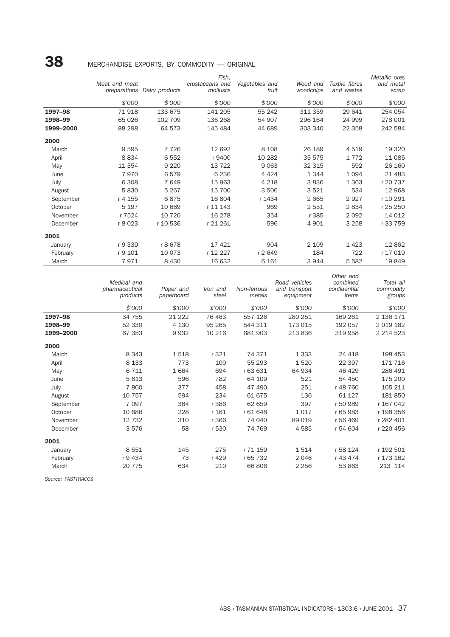|           | MERCHANDISE EXPORTS, BY COMMODITY - ORIGINAL |                |                                      |                         |                       |                              |                                     |
|-----------|----------------------------------------------|----------------|--------------------------------------|-------------------------|-----------------------|------------------------------|-------------------------------------|
|           | Meat and meat<br>preparations                | Dairy products | Fish,<br>crustaceans and<br>molluscs | Vegetables and<br>fruit | Wood and<br>woodchips | Textile fibres<br>and wastes | Metallic ores<br>and metal<br>scrap |
|           | \$'000                                       | \$'000         | \$'000                               | \$7000                  | \$7000                | \$'000                       | \$'000                              |
| 1997-98   | 71918                                        | 133 675        | 141 205                              | 55 24 2                 | 311 359               | 29 641                       | 254 054                             |
| 1998-99   | 65 0 26                                      | 102 709        | 136 268                              | 54 907                  | 296 164               | 24 999                       | 278 001                             |
| 1999-2000 | 88 298                                       | 64 573         | 145 484                              | 44 689                  | 303 340               | 22 3 5 8                     | 242 584                             |
| 2000      |                                              |                |                                      |                         |                       |                              |                                     |
| March     | 9595                                         | 7 7 2 6        | 12 692                               | 8 1 0 8                 | 26 189                | 4 5 1 9                      | 19 3 20                             |
| April     | 8834                                         | 6552           | r 9400                               | 10 282                  | 35 575                | 1 7 7 2                      | 11 085                              |
| May       | 11 3 5 4                                     | 9 2 2 0        | 13 7 22                              | 9 0 6 3                 | 32 315                | 592                          | 26 160                              |
| June      | 7970                                         | 6579           | 6 2 3 6                              | 4 4 2 4                 | 1344                  | 1 0 9 4                      | 21 4 83                             |
| July      | 6 3 0 8                                      | 7649           | 15 963                               | 4 2 1 8                 | 3836                  | 1 3 6 3                      | r 20 737                            |
| August    | 5830                                         | 5 2 6 7        | 15 700                               | 3 506                   | 3521                  | 534                          | 12 968                              |
| September | r 4 155                                      | 6875           | 16 804                               | r 1434                  | 2665                  | 2927                         | r 10 291                            |
| October   | 5 1 9 7                                      | 10 689         | r 11 143                             | 969                     | 2551                  | 2834                         | r 25 250                            |
| November  | r 7524                                       | 10 7 20        | 16 278                               | 354                     | r 385                 | 2 0 9 2                      | 14 012                              |
| December  | r 8 023                                      | r 10 536       | r 21 261                             | 596                     | 4 9 0 1               | 3 2 5 8                      | r 33 759                            |
| 2001      |                                              |                |                                      |                         |                       |                              |                                     |
| January   | r 9 339                                      | r 8678         | 17421                                | 904                     | 2 1 0 9               | 1423                         | 12 862                              |
| February  | r 9 101                                      | 10 0 73        | r 12 227                             | r 2649                  | 184                   | 722                          | r 17 019                            |
| March     | 7971                                         | 8 4 3 0        | 16 632                               | 6 1 6 1                 | 3944                  | 5 5 8 2                      | 19849                               |

|                    | Medical and<br>pharmaceutical<br>products | Paper and<br>paperboard | Iron and<br>steel | Non-ferrous<br>metals | Road vehicles<br>and transport<br>equipment | Other and<br>combined<br>confidential<br>items | Total all<br>commodity<br>groups |
|--------------------|-------------------------------------------|-------------------------|-------------------|-----------------------|---------------------------------------------|------------------------------------------------|----------------------------------|
|                    | \$'000                                    | \$7000                  | \$'000            | \$7000                | \$'000                                      | \$'000                                         | \$'000                           |
| 1997-98            | 34 755                                    | 21 2 2 2                | 76 463            | 557 126               | 280 251                                     | 169 261                                        | 2 136 171                        |
| 1998-99            | 52 330                                    | 4 1 3 0                 | 95 265            | 544 311               | 173 015                                     | 192 057                                        | 2 0 1 9 1 8 2                    |
| 1999-2000          | 67 353                                    | 9932                    | 10 216            | 681 903               | 213 836                                     | 319 958                                        | 2 2 1 4 5 2 3                    |
| 2000               |                                           |                         |                   |                       |                                             |                                                |                                  |
| March              | 8 3 4 3                                   | 1518                    | r 321             | 74 371                | 1 3 3 3                                     | 24 4 18                                        | 198 453                          |
| April              | 8 1 3 3                                   | 773                     | 100               | 55 293                | 1520                                        | 22 397                                         | 171 716                          |
| May                | 6 7 1 1                                   | 1664                    | 694               | r 63 631              | 64 934                                      | 46 429                                         | 286 491                          |
| June               | 5 6 1 3                                   | 596                     | 782               | 64 109                | 521                                         | 54 450                                         | 175 200                          |
| July               | 7800                                      | 377                     | 458               | 47 490                | 251                                         | r 48 760                                       | 165 211                          |
| August             | 10 757                                    | 594                     | 234               | 61 675                | 136                                         | 61 127                                         | 181 850                          |
| September          | 7 0 9 7                                   | 364                     | r 386             | 62 659                | 397                                         | r 50 989                                       | r 167 042                        |
| October            | 10 686                                    | 228                     | r 161             | r 61 648              | 1017                                        | r 65 983                                       | r 198 356                        |
| November           | 12 732                                    | 310                     | r 366             | 74 040                | 89 019                                      | r 56 469                                       | r 282 401                        |
| December           | 3576                                      | 58                      | r 530             | 74 769                | 4585                                        | r 54 604                                       | r 220 456                        |
| 2001               |                                           |                         |                   |                       |                                             |                                                |                                  |
| January            | 8 5 5 1                                   | 145                     | 275               | r 71 159              | 1514                                        | r 58 124                                       | r 192 501                        |
| February           | r 9 434                                   | 73                      | r 429             | r 65 732              | 2 0 4 6                                     | r 43 474                                       | r 173 162                        |
| March              | 20 775                                    | 634                     | 210               | 66 806                | 2 2 5 6                                     | 53 863                                         | 213 114                          |
| Source: FASTTRACCS |                                           |                         |                   |                       |                                             |                                                |                                  |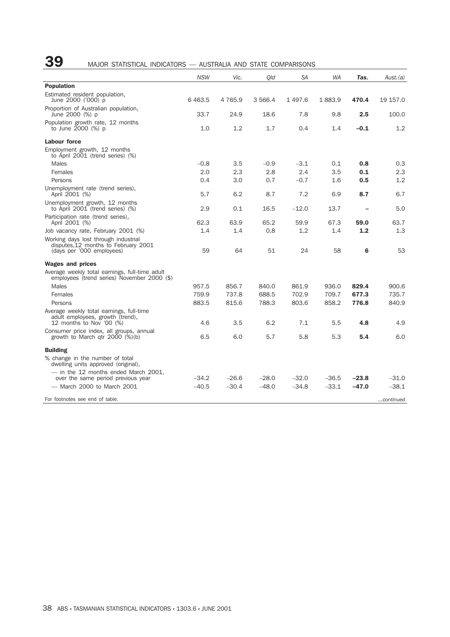# 39 MAJOR STATISTICAL INDICATORS - AUSTRALIA AND STATE COMPARISONS

|                                                                                                           | <b>NSW</b> | Vic.        | Old       | SA      | <b>WA</b> | Tas.    | Aust.(a)  |
|-----------------------------------------------------------------------------------------------------------|------------|-------------|-----------|---------|-----------|---------|-----------|
| <b>Population</b>                                                                                         |            |             |           |         |           |         |           |
| Estimated resident population,<br>June 2000 ('000) p                                                      | 6463.5     | 4 7 6 5 . 9 | 3 5 6 6.4 | 1497.6  | 1883.9    | 470.4   | 19 157.0  |
| Proportion of Australian population,<br>June 2000 (%) p                                                   | 33.7       | 24.9        | 18.6      | 7.8     | 9.8       | 2.5     | 100.0     |
| Population growth rate, 12 months<br>to June 2000 (%) p                                                   | 1.0        | 1.2         | 1.7       | 0.4     | 1.4       | $-0.1$  | 1.2       |
| <b>Labour force</b>                                                                                       |            |             |           |         |           |         |           |
| Employment growth, 12 months<br>to April 2001 (trend series) (%)                                          |            |             |           |         |           |         |           |
| <b>Males</b>                                                                                              | $-0.8$     | 3.5         | $-0.9$    | $-3.1$  | 0.1       | 0.8     | 0.3       |
| Females                                                                                                   | 2.0        | 2.3         | 2.8       | 2.4     | 3.5       | 0.1     | 2.3       |
| Persons                                                                                                   | 0.4        | 3.0         | 0.7       | $-0.7$  | 1.6       | 0.5     | 1.2       |
| Unemployment rate (trend series),<br>April 2001 (%)                                                       | 5.7        | 6.2         | 8.7       | 7.2     | 6.9       | 8.7     | 6.7       |
| Unemployment growth, 12 months<br>to April 2001 (trend series) (%)                                        | 2.9        | 0.1         | 16.5      | $-12.0$ | 13.7      |         | 5.0       |
| Participation rate (trend series),<br>April 2001 (%)                                                      | 62.3       | 63.9        | 65.2      | 59.9    | 67.3      | 59.0    | 63.7      |
| Job vacancy rate, February 2001 (%)                                                                       | 1.4        | 1.4         | 0.8       | 1.2     | 1.4       | 1.2     | 1.3       |
| Working days lost through industrial<br>disputes, 12 months to February 2001<br>(days per '000 employees) | 59         | 64          | 51        | 24      | 58        | 6       | 53        |
| <b>Wages and prices</b>                                                                                   |            |             |           |         |           |         |           |
| Average weekly total earnings, full-time adult<br>employees (trend series) November 2000 (\$)             |            |             |           |         |           |         |           |
| <b>Males</b>                                                                                              | 957.5      | 856.7       | 840.0     | 861.9   | 936.0     | 829.4   | 900.6     |
| Females                                                                                                   | 759.9      | 737.8       | 688.5     | 702.9   | 709.7     | 677.3   | 735.7     |
| Persons                                                                                                   | 883.5      | 815.6       | 788.3     | 803.6   | 858.2     | 776.8   | 840.9     |
| Average weekly total earnings, full-time<br>adult employees, growth (trend),                              |            |             |           |         |           |         |           |
| 12 months to Nov '00 (%)                                                                                  | 4.6        | 3.5         | 6.2       | 7.1     | 5.5       | 4.8     | 4.9       |
| Consumer price index, all groups, annual<br>growth to March qtr $2000$ $(\%)$ (b)                         | 6.5        | 6.0         | 5.7       | 5.8     | 5.3       | 5.4     | 6.0       |
| <b>Building</b>                                                                                           |            |             |           |         |           |         |           |
| % change in the number of total<br>dwelling units approved (original),                                    |            |             |           |         |           |         |           |
| - in the 12 months ended March 2001,                                                                      |            |             |           |         |           |         |           |
| over the same period previous year                                                                        | $-34.2$    | $-26.6$     | $-28.0$   | $-32.0$ | $-36.5$   | $-23.8$ | $-31.0$   |
| - March 2000 to March 2001                                                                                | $-40.5$    | $-30.4$     | $-48.0$   | $-34.8$ | $-33.1$   | $-47.0$ | $-38.1$   |
| For footnotes see end of table.                                                                           |            |             |           |         |           |         | continued |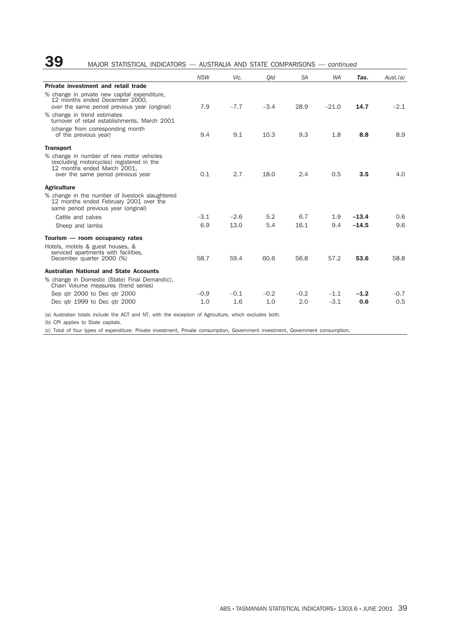### 39 MAJOR STATISTICAL INDICATORS — AUSTRALIA AND STATE COMPARISONS — *continued*

|                                                                                                                                                            | <b>NSW</b>    | Vic.          | Old           | <b>SA</b>     | <b>WA</b>        | Tas.          | Aust.(a)      |
|------------------------------------------------------------------------------------------------------------------------------------------------------------|---------------|---------------|---------------|---------------|------------------|---------------|---------------|
| Private investment and retail trade                                                                                                                        |               |               |               |               |                  |               |               |
| % change in private new capital expenditure,<br>12 months ended December 2000.<br>over the same period previous year (original)                            | 7.9           | $-7.7$        | $-3.4$        | 28.9          | $-21.0$          | 14.7          | $-2.1$        |
| % change in trend estimates<br>turnover of retail establishments. March 2001                                                                               |               |               |               |               |                  |               |               |
| (change from corresponding month<br>of the previous year)                                                                                                  | 9.4           | 9.1           | 10.3          | 9.3           | 1.8              | 8.8           | 8.9           |
| <b>Transport</b>                                                                                                                                           |               |               |               |               |                  |               |               |
| % change in number of new motor vehicles<br>(excluding motorcycles) registered in the<br>12 months ended March 2001.<br>over the same period previous year | 0.1           | 2.7           | 18.0          | 2.4           | 0.5              | 3.5           | 4.0           |
| <b>Agriculture</b>                                                                                                                                         |               |               |               |               |                  |               |               |
| % change in the number of livestock slaughtered<br>12 months ended February 2001 over the<br>same period previous year (original)                          |               |               |               |               |                  |               |               |
| Cattle and calves                                                                                                                                          | $-3.1$        | $-2.6$        | 5.2           | 6.7           | 1.9              | $-13.4$       | 0.6           |
| Sheep and lambs                                                                                                                                            | 6.9           | 13.0          | 5.4           | 16.1          | 9.4              | $-14.5$       | 9.6           |
| Tourism - room occupancy rates                                                                                                                             |               |               |               |               |                  |               |               |
| Hotels, motels & guest houses, &<br>serviced apartments with facilities,<br>December quarter 2000 (%)                                                      | 58.7          | 59.4          | 60.6          | 56.8          | 57.2             | 53.6          | 58.8          |
| <b>Australian National and State Accounts</b><br>% change in Domestic (State) Final Demand(c),<br>Chain Volume measures (trend series)                     |               |               |               |               |                  |               |               |
| Sep gtr 2000 to Dec gtr 2000<br>Dec gtr 1999 to Dec gtr 2000                                                                                               | $-0.9$<br>1.0 | $-0.1$<br>1.6 | $-0.2$<br>1.0 | $-0.2$<br>2.0 | $-1.1$<br>$-3.1$ | $-1.2$<br>0.6 | $-0.7$<br>0.5 |

(a) Australian totals include the ACT and NT, with the exception of Agriculture, which excludes both.

(b) CPI applies to State capitals.

(c) Total of four types of expenditure: Private investment, Private consumption, Government investment, Government consumption.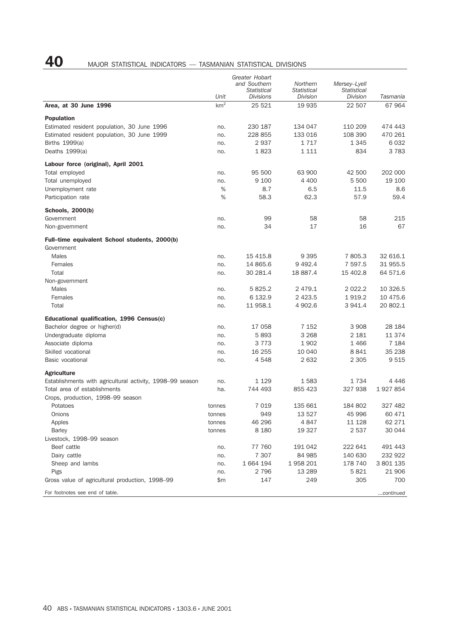# 40 MAJOR STATISTICAL INDICATORS — TASMANIAN STATISTICAL DIVISIONS

|                                                                  | Unit            | Greater Hobart<br>and Southern<br><b>Statistical</b><br>Divisions | Northern<br>Statistical<br>Division | Mersey-Lyell<br><b>Statistical</b><br>Division | Tasmania  |
|------------------------------------------------------------------|-----------------|-------------------------------------------------------------------|-------------------------------------|------------------------------------------------|-----------|
| Area, at 30 June 1996                                            | km <sup>2</sup> | 25 5 21                                                           | 19 935                              | 22 507                                         | 67964     |
|                                                                  |                 |                                                                   |                                     |                                                |           |
| <b>Population</b><br>Estimated resident population, 30 June 1996 | no.             | 230 187                                                           | 134 047                             | 110 209                                        | 474 443   |
| Estimated resident population, 30 June 1999                      | no.             | 228 855                                                           | 133 016                             | 108 390                                        | 470 261   |
| Births 1999(a)                                                   | no.             | 2937                                                              | 1717                                | 1 3 4 5                                        | 6032      |
| Deaths $1999(a)$                                                 | no.             | 1823                                                              | 1 1 1 1                             | 834                                            | 3783      |
| Labour force (original), April 2001                              |                 |                                                                   |                                     |                                                |           |
| Total employed                                                   | no.             | 95 500                                                            | 63 900                              | 42 500                                         | 202 000   |
| Total unemployed                                                 | no.             | 9 100                                                             | 4 4 0 0                             | 5 500                                          | 19 100    |
| Unemployment rate                                                | %               | 8.7                                                               | 6.5                                 | 11.5                                           | 8.6       |
| Participation rate                                               | %               | 58.3                                                              | 62.3                                | 57.9                                           | 59.4      |
|                                                                  |                 |                                                                   |                                     |                                                |           |
| Schools, 2000(b)<br>Government                                   | no.             | 99                                                                | 58                                  | 58                                             | 215       |
| Non-government                                                   | no.             | 34                                                                | 17                                  | 16                                             | 67        |
| Full-time equivalent School students, 2000(b)                    |                 |                                                                   |                                     |                                                |           |
| Government                                                       |                 |                                                                   |                                     |                                                |           |
| <b>Males</b>                                                     | no.             | 15 4 15.8                                                         | 9 3 9 5                             | 7805.3                                         | 32 616.1  |
| Females                                                          | no.             | 14 865.6                                                          | 9 4 9 2.4                           | 7 597.5                                        | 31 955.5  |
| Total                                                            | no.             | 30 281.4                                                          | 18 887.4                            | 15 402.8                                       | 64 571.6  |
| Non-government                                                   |                 |                                                                   |                                     |                                                |           |
| Males                                                            | no.             | 5825.2                                                            | 2 4 7 9 . 1                         | 2 0 2 2.2                                      | 10 326.5  |
| Females                                                          | no.             | 6 132.9                                                           | 2 4 2 3.5                           | 1919.2                                         | 10 475.6  |
| Total                                                            | no.             | 11 958.1                                                          | 4 902.6                             | 3 941.4                                        | 20 802.1  |
| Educational qualification, 1996 Census(c)                        |                 |                                                                   |                                     |                                                |           |
| Bachelor degree or higher(d)                                     | no.             | 17 058                                                            | 7 1 5 2                             | 3 9 0 8                                        | 28 184    |
| Undergraduate diploma                                            | no.             | 5893                                                              | 3 2 6 8                             | 2 181                                          | 11 374    |
| Associate diploma                                                | no.             | 3 7 7 3                                                           | 1902                                | 1466                                           | 7 1 8 4   |
| Skilled vocational                                               | no.             | 16 255                                                            | 10 040                              | 8841                                           | 35 238    |
| Basic vocational                                                 | no.             | 4548                                                              | 2632                                | 2 3 0 5                                        | 9515      |
| <b>Agriculture</b>                                               |                 |                                                                   |                                     |                                                |           |
| Establishments with agricultural activity, 1998–99 season        | no.             | 1 1 2 9                                                           | 1583                                | 1734                                           | 4 4 4 6   |
| Total area of establishments                                     | ha.             | 744 493                                                           | 855 423                             | 327 938                                        | 1927854   |
| Crops, production, 1998-99 season                                |                 |                                                                   |                                     |                                                |           |
| Potatoes                                                         | tonnes          | 7019                                                              | 135 661                             | 184 802                                        | 327 482   |
| Onions                                                           | tonnes          | 949                                                               | 13 527                              | 45 996                                         | 60 471    |
| Apples                                                           | tonnes          | 46 296                                                            | 4847                                | 11 1 28                                        | 62 271    |
| <b>Barley</b>                                                    | tonnes          | 8 1 8 0                                                           | 19 327                              | 2 5 3 7                                        | 30 044    |
| Livestock, 1998-99 season                                        |                 |                                                                   |                                     |                                                |           |
| Beef cattle                                                      | no.             | 77 760                                                            | 191 042                             | 222 641                                        | 491 443   |
| Dairy cattle                                                     | no.             | 7 3 0 7                                                           | 84 985                              | 140 630                                        | 232 922   |
| Sheep and lambs                                                  | no.             | 1 664 194                                                         | 1958 201                            | 178 740                                        | 3 801 135 |
| Pigs                                                             | no.             | 2 7 9 6                                                           | 13 2 89                             | 5821                                           | 21 906    |
| Gross value of agricultural production, 1998–99                  | \$m             | 147                                                               | 249                                 | 305                                            | 700       |
| For footnotes see end of table.                                  |                 |                                                                   |                                     |                                                | continued |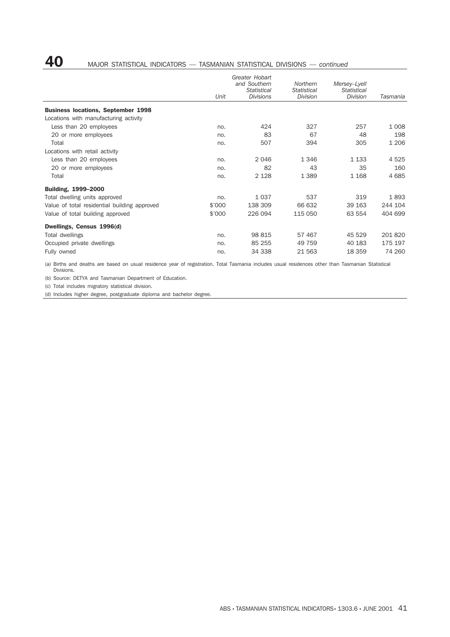# 40 MAJOR STATISTICAL INDICATORS — TASMANIAN STATISTICAL DIVISIONS — *continued*

|                                              |        | Greater Hobart<br>and Southern<br>Statistical | Northern<br>Statistical | Mersey-Lyell<br><b>Statistical</b> |          |
|----------------------------------------------|--------|-----------------------------------------------|-------------------------|------------------------------------|----------|
|                                              | Unit   | <b>Divisions</b>                              | <b>Division</b>         | <b>Division</b>                    | Tasmania |
| <b>Business locations, September 1998</b>    |        |                                               |                         |                                    |          |
| Locations with manufacturing activity        |        |                                               |                         |                                    |          |
| Less than 20 employees                       | no.    | 424                                           | 327                     | 257                                | 1 0 0 8  |
| 20 or more employees                         | no.    | 83                                            | 67                      | 48                                 | 198      |
| Total                                        | no.    | 507                                           | 394                     | 305                                | 1 2 0 6  |
| Locations with retail activity               |        |                                               |                         |                                    |          |
| Less than 20 employees                       | no.    | 2046                                          | 1 3 4 6                 | 1 1 3 3                            | 4525     |
| 20 or more employees                         | no.    | 82                                            | 43                      | 35                                 | 160      |
| Total                                        | no.    | 2 1 2 8                                       | 1 3 8 9                 | 1 1 6 8                            | 4685     |
| Building, 1999-2000                          |        |                                               |                         |                                    |          |
| Total dwelling units approved                | no.    | 1037                                          | 537                     | 319                                | 1893     |
| Value of total residential building approved | \$'000 | 138 309                                       | 66 632                  | 39 163                             | 244 104  |
| Value of total building approved             | \$'000 | 226 094                                       | 115 050                 | 63 554                             | 404 699  |
| Dwellings, Census 1996(d)                    |        |                                               |                         |                                    |          |
| Total dwellings                              | no.    | 98 815                                        | 57 467                  | 45 529                             | 201820   |
| Occupied private dwellings                   | no.    | 85 255                                        | 49 759                  | 40 183                             | 175 197  |
| Fully owned                                  | no.    | 34 338                                        | 21 5 63                 | 18 3 5 9                           | 74 260   |

(a) Births and deaths are based on usual residence year of registration. Total Tasmania includes usual residences other than Tasmanian Statistical Divisions.

(b) Source: DETYA and Tasmanian Department of Education.

(c) Total includes migratory statistical division.

(d) Includes higher degree, postgraduate diploma and bachelor degree.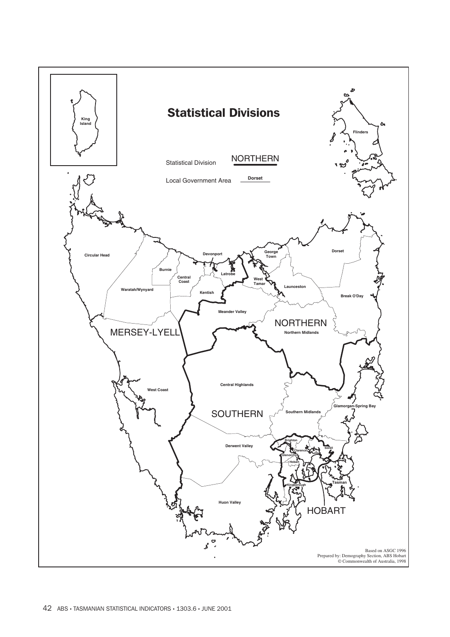